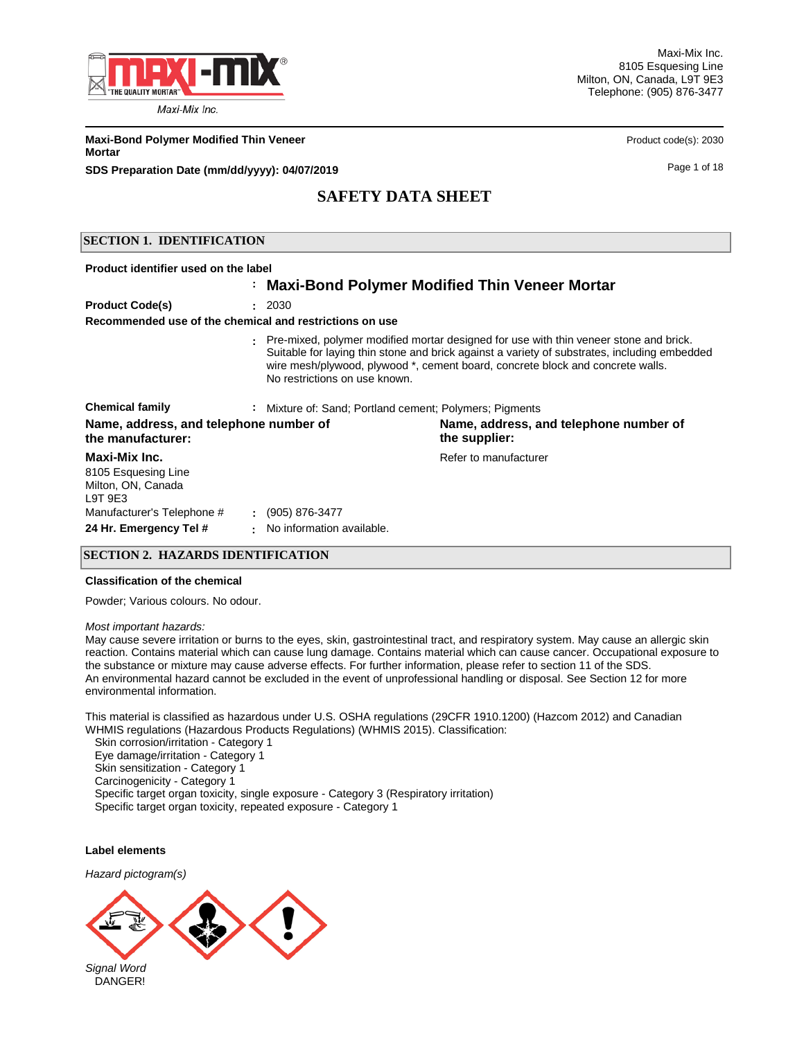

Maxi-Mix Inc. 8105 Esquesing Line Milton, ON, Canada, L9T 9E3 Telephone: (905) 876-3477

**Maxi-Bond Polymer Modified Thin Veneer Product code(s): 2030** Product code(s): 2030 **Mortar**

**SDS Preparation Date (mm/dd/yyyy): 04/07/2019 Page 1 of 18** Page 1 of 18

# **SAFETY DATA SHEET**

### **SECTION 1. IDENTIFICATION**

| Product identifier used on the label                                 |                |                                                         |                                                                                                                                                                                                                                                                           |
|----------------------------------------------------------------------|----------------|---------------------------------------------------------|---------------------------------------------------------------------------------------------------------------------------------------------------------------------------------------------------------------------------------------------------------------------------|
|                                                                      |                |                                                         | : Maxi-Bond Polymer Modified Thin Veneer Mortar                                                                                                                                                                                                                           |
| <b>Product Code(s)</b>                                               |                | : 2030                                                  |                                                                                                                                                                                                                                                                           |
| Recommended use of the chemical and restrictions on use              |                |                                                         |                                                                                                                                                                                                                                                                           |
|                                                                      |                | No restrictions on use known.                           | . Pre-mixed, polymer modified mortar designed for use with thin veneer stone and brick.<br>Suitable for laying thin stone and brick against a variety of substrates, including embedded<br>wire mesh/plywood, plywood *, cement board, concrete block and concrete walls. |
| <b>Chemical family</b>                                               |                | : Mixture of: Sand; Portland cement; Polymers; Pigments |                                                                                                                                                                                                                                                                           |
| Name, address, and telephone number of<br>the manufacturer:          |                |                                                         | Name, address, and telephone number of<br>the supplier:                                                                                                                                                                                                                   |
| Maxi-Mix Inc.<br>8105 Esquesing Line<br>Milton, ON, Canada<br>L9T9E3 |                |                                                         | Refer to manufacturer                                                                                                                                                                                                                                                     |
| Manufacturer's Telephone #                                           |                | $: (905) 876 - 3477$                                    |                                                                                                                                                                                                                                                                           |
| 24 Hr. Emergency Tel #                                               | $\blacksquare$ | No information available.                               |                                                                                                                                                                                                                                                                           |

### **SECTION 2. HAZARDS IDENTIFICATION**

#### **Classification of the chemical**

Powder; Various colours. No odour.

#### *Most important hazards:*

May cause severe irritation or burns to the eyes, skin, gastrointestinal tract, and respiratory system. May cause an allergic skin reaction. Contains material which can cause lung damage. Contains material which can cause cancer. Occupational exposure to the substance or mixture may cause adverse effects. For further information, please refer to section 11 of the SDS. An environmental hazard cannot be excluded in the event of unprofessional handling or disposal. See Section 12 for more environmental information.

This material is classified as hazardous under U.S. OSHA regulations (29CFR 1910.1200) (Hazcom 2012) and Canadian WHMIS regulations (Hazardous Products Regulations) (WHMIS 2015). Classification:

 Skin corrosion/irritation - Category 1 Eye damage/irritation - Category 1 Skin sensitization - Category 1 Carcinogenicity - Category 1 Specific target organ toxicity, single exposure - Category 3 (Respiratory irritation) Specific target organ toxicity, repeated exposure - Category 1

### **Label elements**

*Hazard pictogram(s)*

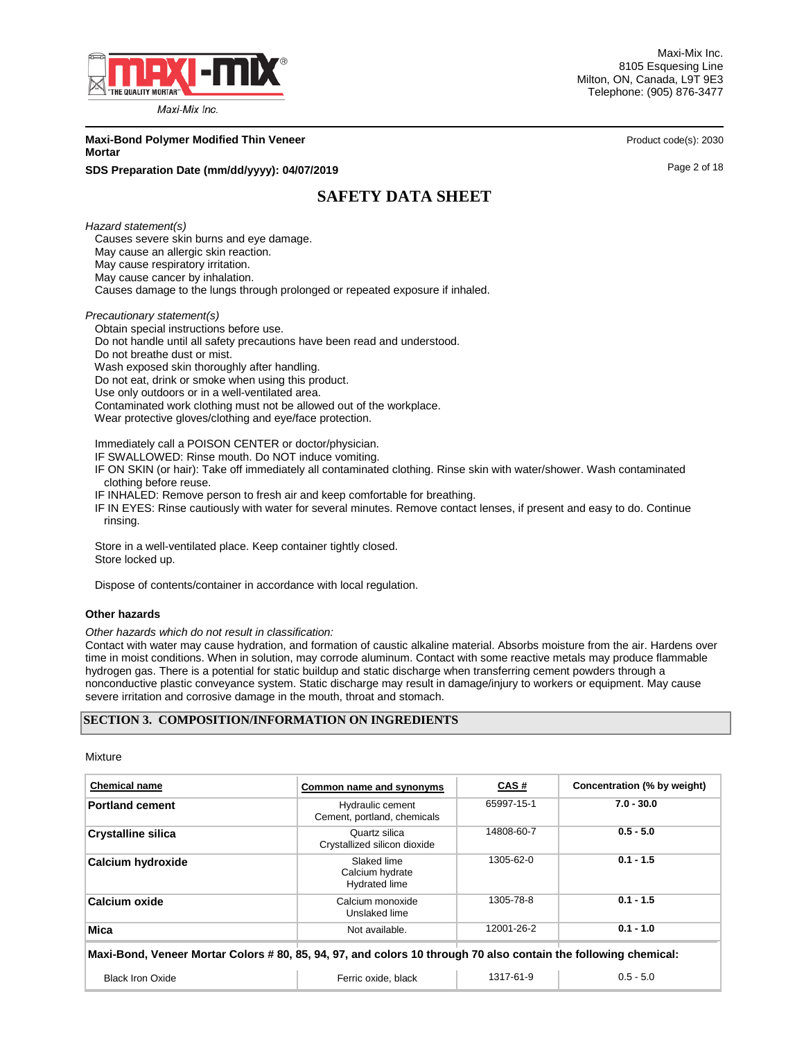

Maxi-Mix Inc. 8105 Esquesing Line Milton, ON, Canada, L9T 9E3 Telephone: (905) 876-3477

**Maxi-Bond Polymer Modified Thin Veneer Product code(s): 2030** Product code(s): 2030 **Mortar**

### **SDS Preparation Date (mm/dd/yyyy): 04/07/2019 Page 2 of 18** Page 2 of 18

# **SAFETY DATA SHEET**

*Hazard statement(s)* Causes severe skin burns and eye damage. May cause an allergic skin reaction. May cause respiratory irritation. May cause cancer by inhalation. Causes damage to the lungs through prolonged or repeated exposure if inhaled.

*Precautionary statement(s)*

Obtain special instructions before use.

Do not handle until all safety precautions have been read and understood.

Do not breathe dust or mist.

Wash exposed skin thoroughly after handling.

Do not eat, drink or smoke when using this product.

Use only outdoors or in a well-ventilated area.

Contaminated work clothing must not be allowed out of the workplace.

Wear protective gloves/clothing and eye/face protection.

Immediately call a POISON CENTER or doctor/physician.

IF SWALLOWED: Rinse mouth. Do NOT induce vomiting.

 IF ON SKIN (or hair): Take off immediately all contaminated clothing. Rinse skin with water/shower. Wash contaminated clothing before reuse.

IF INHALED: Remove person to fresh air and keep comfortable for breathing.

 IF IN EYES: Rinse cautiously with water for several minutes. Remove contact lenses, if present and easy to do. Continue rinsing.

 Store in a well-ventilated place. Keep container tightly closed. Store locked up.

Dispose of contents/container in accordance with local regulation.

### **Other hazards**

*Other hazards which do not result in classification:* 

Contact with water may cause hydration, and formation of caustic alkaline material. Absorbs moisture from the air. Hardens over time in moist conditions. When in solution, may corrode aluminum. Contact with some reactive metals may produce flammable hydrogen gas. There is a potential for static buildup and static discharge when transferring cement powders through a nonconductive plastic conveyance system. Static discharge may result in damage/injury to workers or equipment. May cause severe irritation and corrosive damage in the mouth, throat and stomach.

#### **SECTION 3. COMPOSITION/INFORMATION ON INGREDIENTS**

Mixture

| <b>Chemical name</b>                                                                                            | Common name and synonyms                               | CAS#       | Concentration (% by weight) |  |
|-----------------------------------------------------------------------------------------------------------------|--------------------------------------------------------|------------|-----------------------------|--|
| <b>Portland cement</b>                                                                                          | Hydraulic cement<br>Cement, portland, chemicals        | 65997-15-1 | $7.0 - 30.0$                |  |
| <b>Crystalline silica</b>                                                                                       | Quartz silica<br>Crystallized silicon dioxide          | 14808-60-7 | $0.5 - 5.0$                 |  |
| <b>Calcium hydroxide</b>                                                                                        | Slaked lime<br>Calcium hydrate<br><b>Hydrated lime</b> | 1305-62-0  | $0.1 - 1.5$                 |  |
| Calcium oxide                                                                                                   | Calcium monoxide<br>Unslaked lime                      | 1305-78-8  | $0.1 - 1.5$                 |  |
| Mica                                                                                                            | Not available.                                         | 12001-26-2 | $0.1 - 1.0$                 |  |
| Maxi-Bond, Veneer Mortar Colors # 80, 85, 94, 97, and colors 10 through 70 also contain the following chemical: |                                                        |            |                             |  |
| <b>Black Iron Oxide</b>                                                                                         | Ferric oxide, black                                    | 1317-61-9  | $0.5 - 5.0$                 |  |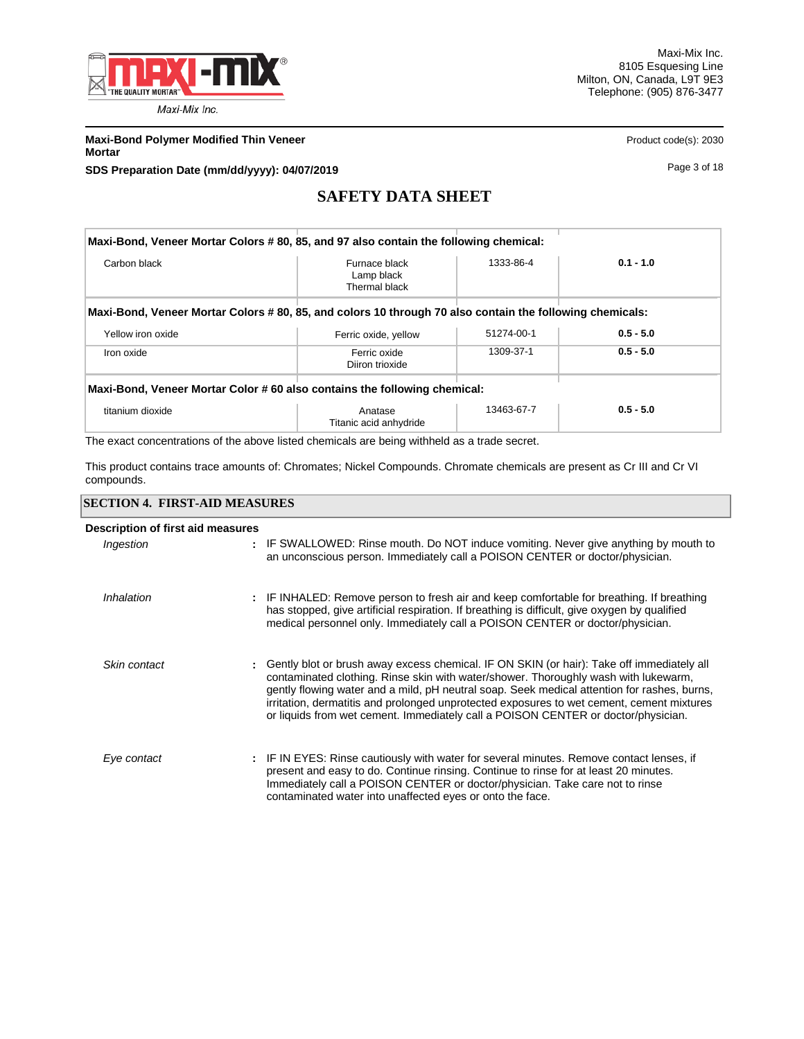

**Maxi-Bond Polymer Modified Thin Veneer Product code(s): 2030** Product code(s): 2030 **Mortar**

**SDS Preparation Date (mm/dd/yyyy): 04/07/2019 Page 3 of 18** 

# **SAFETY DATA SHEET**

|                   | Maxi-Bond, Veneer Mortar Colors #80, 85, and 97 also contain the following chemical:                     |            |             |
|-------------------|----------------------------------------------------------------------------------------------------------|------------|-------------|
| Carbon black      | Furnace black<br>Lamp black<br>Thermal black                                                             | 1333-86-4  | $0.1 - 1.0$ |
|                   | Maxi-Bond, Veneer Mortar Colors # 80, 85, and colors 10 through 70 also contain the following chemicals: |            |             |
| Yellow iron oxide | Ferric oxide, yellow                                                                                     | 51274-00-1 | $0.5 - 5.0$ |
| Iron oxide        | Ferric oxide<br>Diiron trioxide                                                                          | 1309-37-1  | $0.5 - 5.0$ |
|                   | Maxi-Bond, Veneer Mortar Color #60 also contains the following chemical:                                 |            |             |
| titanium dioxide  | Anatase<br>Titanic acid anhydride                                                                        | 13463-67-7 | $0.5 - 5.0$ |

The exact concentrations of the above listed chemicals are being withheld as a trade secret.

This product contains trace amounts of: Chromates; Nickel Compounds. Chromate chemicals are present as Cr III and Cr VI compounds.

### **SECTION 4. FIRST-AID MEASURES**

| Description of first aid measures |                                                                                                                                                                                                                                                                                                                                                                                                                                                                     |
|-----------------------------------|---------------------------------------------------------------------------------------------------------------------------------------------------------------------------------------------------------------------------------------------------------------------------------------------------------------------------------------------------------------------------------------------------------------------------------------------------------------------|
| Ingestion                         | : IF SWALLOWED: Rinse mouth. Do NOT induce vomiting. Never give anything by mouth to<br>an unconscious person. Immediately call a POISON CENTER or doctor/physician.                                                                                                                                                                                                                                                                                                |
| Inhalation                        | : IF INHALED: Remove person to fresh air and keep comfortable for breathing. If breathing<br>has stopped, give artificial respiration. If breathing is difficult, give oxygen by qualified<br>medical personnel only. Immediately call a POISON CENTER or doctor/physician.                                                                                                                                                                                         |
| Skin contact                      | : Gently blot or brush away excess chemical. IF ON SKIN (or hair): Take off immediately all<br>contaminated clothing. Rinse skin with water/shower. Thoroughly wash with lukewarm,<br>gently flowing water and a mild, pH neutral soap. Seek medical attention for rashes, burns,<br>irritation, dermatitis and prolonged unprotected exposures to wet cement, cement mixtures<br>or liquids from wet cement. Immediately call a POISON CENTER or doctor/physician. |
| Eye contact                       | : IF IN EYES: Rinse cautiously with water for several minutes. Remove contact lenses, if<br>present and easy to do. Continue rinsing. Continue to rinse for at least 20 minutes.<br>Immediately call a POISON CENTER or doctor/physician. Take care not to rinse<br>contaminated water into unaffected eyes or onto the face.                                                                                                                                       |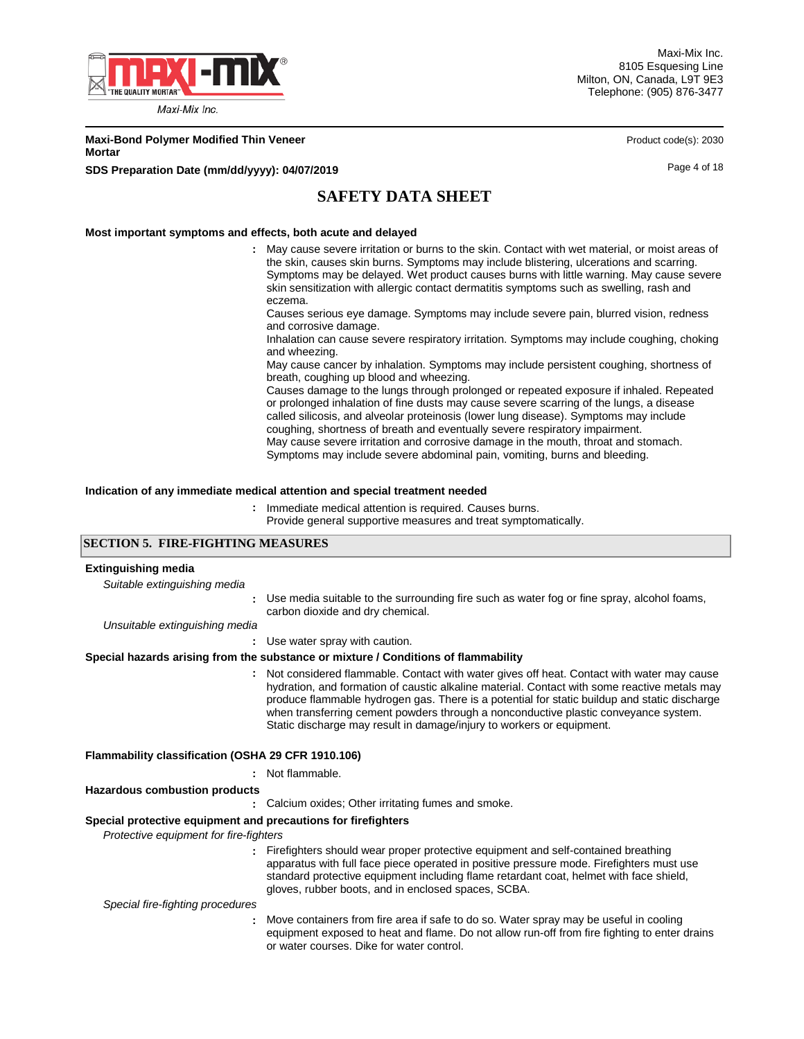

Maxi-Mix Inc. 8105 Esquesing Line Milton, ON, Canada, L9T 9E3 Telephone: (905) 876-3477

**Maxi-Bond Polymer Modified Thin Veneer Product code(s): 2030** Product code(s): 2030 **Mortar**

**SDS Preparation Date (mm/dd/yyyy): 04/07/2019 Page 4 of 18** 

# **SAFETY DATA SHEET**

### **Most important symptoms and effects, both acute and delayed**

May cause severe irritation or burns to the skin. Contact with wet material, or moist areas of **:** the skin, causes skin burns. Symptoms may include blistering, ulcerations and scarring. Symptoms may be delayed. Wet product causes burns with little warning. May cause severe skin sensitization with allergic contact dermatitis symptoms such as swelling, rash and eczema.

Causes serious eye damage. Symptoms may include severe pain, blurred vision, redness and corrosive damage.

Inhalation can cause severe respiratory irritation. Symptoms may include coughing, choking and wheezing.

May cause cancer by inhalation. Symptoms may include persistent coughing, shortness of breath, coughing up blood and wheezing.

Causes damage to the lungs through prolonged or repeated exposure if inhaled. Repeated or prolonged inhalation of fine dusts may cause severe scarring of the lungs, a disease called silicosis, and alveolar proteinosis (lower lung disease). Symptoms may include coughing, shortness of breath and eventually severe respiratory impairment. May cause severe irritation and corrosive damage in the mouth, throat and stomach. Symptoms may include severe abdominal pain, vomiting, burns and bleeding.

### **Indication of any immediate medical attention and special treatment needed**

: Immediate medical attention is required. Causes burns.

Provide general supportive measures and treat symptomatically.

### **SECTION 5. FIRE-FIGHTING MEASURES**

| <b>Extinguishing media</b>                                    |                                                                                                                                                                                                                                                                                                                                                                                                                                                             |
|---------------------------------------------------------------|-------------------------------------------------------------------------------------------------------------------------------------------------------------------------------------------------------------------------------------------------------------------------------------------------------------------------------------------------------------------------------------------------------------------------------------------------------------|
| Suitable extinguishing media                                  |                                                                                                                                                                                                                                                                                                                                                                                                                                                             |
|                                                               | Use media suitable to the surrounding fire such as water fog or fine spray, alcohol foams,<br>carbon dioxide and dry chemical.                                                                                                                                                                                                                                                                                                                              |
| Unsuitable extinguishing media                                |                                                                                                                                                                                                                                                                                                                                                                                                                                                             |
|                                                               | Use water spray with caution.                                                                                                                                                                                                                                                                                                                                                                                                                               |
|                                                               | Special hazards arising from the substance or mixture / Conditions of flammability                                                                                                                                                                                                                                                                                                                                                                          |
|                                                               | : Not considered flammable. Contact with water gives off heat. Contact with water may cause<br>hydration, and formation of caustic alkaline material. Contact with some reactive metals may<br>produce flammable hydrogen gas. There is a potential for static buildup and static discharge<br>when transferring cement powders through a nonconductive plastic conveyance system.<br>Static discharge may result in damage/injury to workers or equipment. |
| Flammability classification (OSHA 29 CFR 1910.106)            |                                                                                                                                                                                                                                                                                                                                                                                                                                                             |
|                                                               | : Not flammable.                                                                                                                                                                                                                                                                                                                                                                                                                                            |
| <b>Hazardous combustion products</b>                          |                                                                                                                                                                                                                                                                                                                                                                                                                                                             |
|                                                               | Calcium oxides; Other irritating fumes and smoke.                                                                                                                                                                                                                                                                                                                                                                                                           |
| Special protective equipment and precautions for firefighters |                                                                                                                                                                                                                                                                                                                                                                                                                                                             |
| Protective equipment for fire-fighters                        |                                                                                                                                                                                                                                                                                                                                                                                                                                                             |
|                                                               | : Firefighters should wear proper protective equipment and self-contained breathing<br>apparatus with full face piece operated in positive pressure mode. Firefighters must use<br>standard protective equipment including flame retardant coat, helmet with face shield,<br>gloves, rubber boots, and in enclosed spaces, SCBA.                                                                                                                            |
| Special fire-fighting procedures                              |                                                                                                                                                                                                                                                                                                                                                                                                                                                             |
|                                                               | Move containers from fire area if safe to do so. Water spray may be useful in cooling<br>equipment exposed to heat and flame. Do not allow run-off from fire fighting to enter drains<br>or water courses. Dike for water control.                                                                                                                                                                                                                          |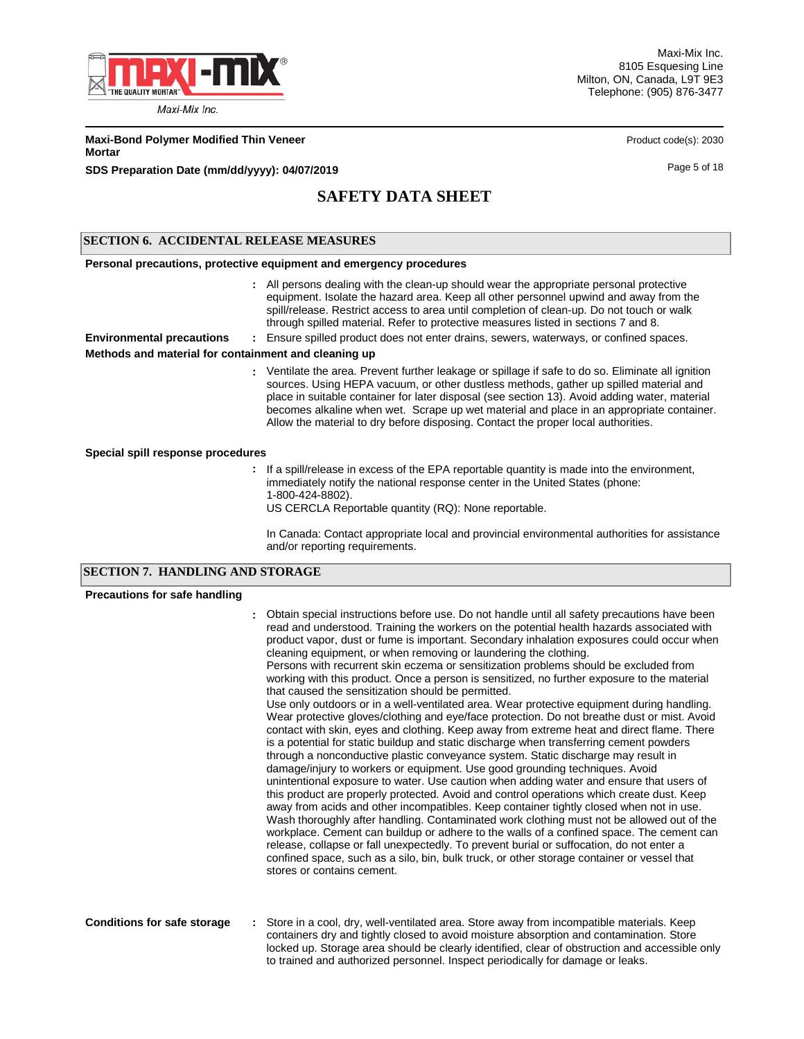

Maxi-Mix Inc. 8105 Esquesing Line Milton, ON, Canada, L9T 9E3 Telephone: (905) 876-3477

**Maxi-Bond Polymer Modified Thin Veneer Product code(s): 2030** Product code(s): 2030 **Mortar**

**SDS Preparation Date (mm/dd/yyyy): 04/07/2019 Page 5 of 18 Page 5 of 18** 

# **SAFETY DATA SHEET**

### **SECTION 6. ACCIDENTAL RELEASE MEASURES**

#### **Personal precautions, protective equipment and emergency procedures**

All persons dealing with the clean-up should wear the appropriate personal protective **:** equipment. Isolate the hazard area. Keep all other personnel upwind and away from the spill/release. Restrict access to area until completion of clean-up. Do not touch or walk through spilled material. Refer to protective measures listed in sections 7 and 8.

**Environmental precautions :** Ensure spilled product does not enter drains, sewers, waterways, or confined spaces.

### **Methods and material for containment and cleaning up**

Ventilate the area. Prevent further leakage or spillage if safe to do so. Eliminate all ignition **:** sources. Using HEPA vacuum, or other dustless methods, gather up spilled material and place in suitable container for later disposal (see section 13). Avoid adding water, material becomes alkaline when wet. Scrape up wet material and place in an appropriate container. Allow the material to dry before disposing. Contact the proper local authorities.

### **Special spill response procedures**

- **:** If a spill/release in excess of the EPA reportable quantity is made into the environment, immediately notify the national response center in the United States (phone: 1-800-424-8802).
	- US CERCLA Reportable quantity (RQ): None reportable.

In Canada: Contact appropriate local and provincial environmental authorities for assistance and/or reporting requirements.

### **SECTION 7. HANDLING AND STORAGE**

#### **Precautions for safe handling**

|                                    | Obtain special instructions before use. Do not handle until all safety precautions have been<br>read and understood. Training the workers on the potential health hazards associated with<br>product vapor, dust or fume is important. Secondary inhalation exposures could occur when<br>cleaning equipment, or when removing or laundering the clothing.<br>Persons with recurrent skin eczema or sensitization problems should be excluded from<br>working with this product. Once a person is sensitized, no further exposure to the material<br>that caused the sensitization should be permitted.<br>Use only outdoors or in a well-ventilated area. Wear protective equipment during handling.<br>Wear protective gloves/clothing and eye/face protection. Do not breathe dust or mist. Avoid<br>contact with skin, eyes and clothing. Keep away from extreme heat and direct flame. There<br>is a potential for static buildup and static discharge when transferring cement powders<br>through a nonconductive plastic conveyance system. Static discharge may result in<br>damage/injury to workers or equipment. Use good grounding techniques. Avoid<br>unintentional exposure to water. Use caution when adding water and ensure that users of<br>this product are properly protected. Avoid and control operations which create dust. Keep<br>away from acids and other incompatibles. Keep container tightly closed when not in use.<br>Wash thoroughly after handling. Contaminated work clothing must not be allowed out of the<br>workplace. Cement can buildup or adhere to the walls of a confined space. The cement can<br>release, collapse or fall unexpectedly. To prevent burial or suffocation, do not enter a<br>confined space, such as a silo, bin, bulk truck, or other storage container or vessel that<br>stores or contains cement. |
|------------------------------------|----------------------------------------------------------------------------------------------------------------------------------------------------------------------------------------------------------------------------------------------------------------------------------------------------------------------------------------------------------------------------------------------------------------------------------------------------------------------------------------------------------------------------------------------------------------------------------------------------------------------------------------------------------------------------------------------------------------------------------------------------------------------------------------------------------------------------------------------------------------------------------------------------------------------------------------------------------------------------------------------------------------------------------------------------------------------------------------------------------------------------------------------------------------------------------------------------------------------------------------------------------------------------------------------------------------------------------------------------------------------------------------------------------------------------------------------------------------------------------------------------------------------------------------------------------------------------------------------------------------------------------------------------------------------------------------------------------------------------------------------------------------------------------------------------------------------------------------------------------------------|
| <b>Conditions for safe storage</b> | Store in a cool, dry, well-ventilated area. Store away from incompatible materials. Keep<br>containers dry and tightly closed to avoid moisture absorption and contamination. Store<br>locked up. Storage area should be clearly identified, clear of obstruction and accessible only<br>to trained and authorized personnel. Inspect periodically for damage or leaks.                                                                                                                                                                                                                                                                                                                                                                                                                                                                                                                                                                                                                                                                                                                                                                                                                                                                                                                                                                                                                                                                                                                                                                                                                                                                                                                                                                                                                                                                                              |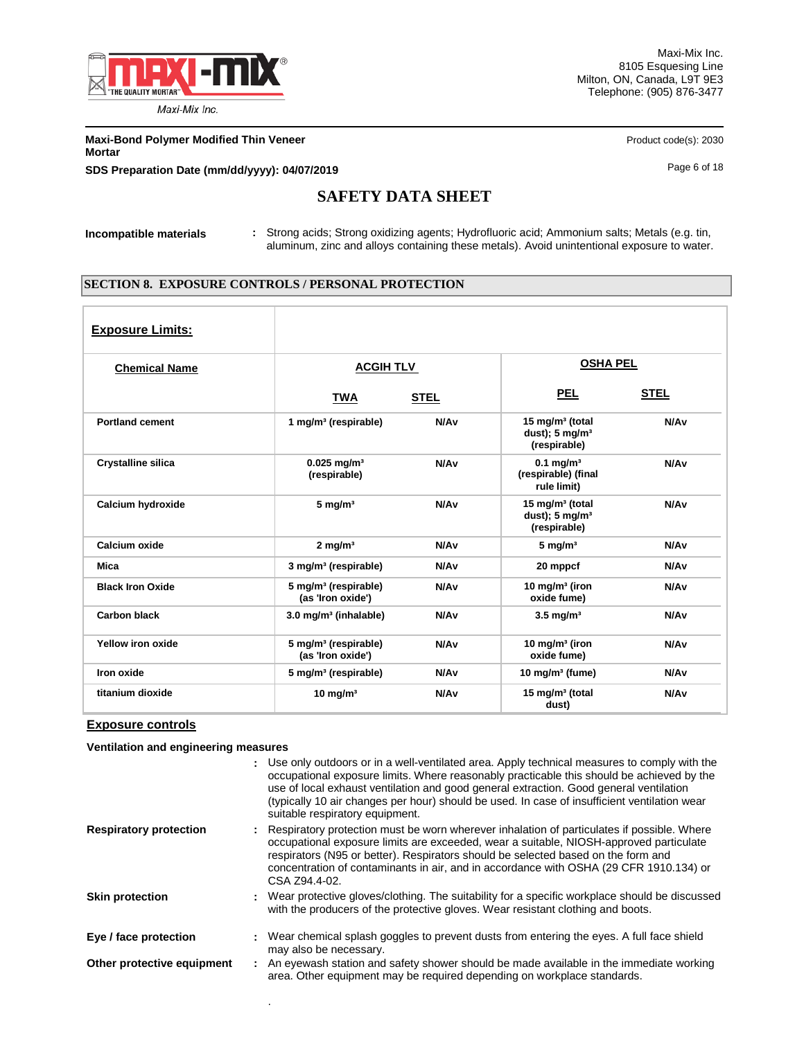

Maxi-Mix Inc. 8105 Esquesing Line Milton, ON, Canada, L9T 9E3 Telephone: (905) 876-3477

**Maxi-Bond Polymer Modified Thin Veneer Product code(s): 2030** Product code(s): 2030 **Mortar SDS Preparation Date (mm/dd/yyyy): 04/07/2019 Page 6 of 18** Page 6 of 18

# **SAFETY DATA SHEET**

**Incompatible materials :** Strong acids; Strong oxidizing agents; Hydrofluoric acid; Ammonium salts; Metals (e.g. tin, aluminum, zinc and alloys containing these metals). Avoid unintentional exposure to water.

### **SECTION 8. EXPOSURE CONTROLS / PERSONAL PROTECTION**

| <b>Exposure Limits:</b>   |                                                       |                  |                                                                          |                  |
|---------------------------|-------------------------------------------------------|------------------|--------------------------------------------------------------------------|------------------|
| <b>Chemical Name</b>      | <b>ACGIH TLV</b>                                      |                  | <b>OSHA PEL</b>                                                          |                  |
|                           | <b>TWA</b>                                            | <b>STEL</b>      | <u>PEL</u>                                                               | <b>STEL</b>      |
| <b>Portland cement</b>    | 1 mg/m <sup>3</sup> (respirable)                      | N/A <sub>v</sub> | 15 mg/m <sup>3</sup> (total<br>dust); $5 \text{ mg/m}^3$<br>(respirable) | N/A <sub>v</sub> |
| <b>Crystalline silica</b> | $0.025$ mg/m <sup>3</sup><br>(respirable)             | N/A <sub>v</sub> | $0.1$ mg/m <sup>3</sup><br>(respirable) (final<br>rule limit)            | N/A <sub>v</sub> |
| Calcium hydroxide         | $5 \text{ mg/m}^3$                                    | N/A <sub>v</sub> | 15 mg/m <sup>3</sup> (total<br>dust); $5 \text{ mg/m}^3$<br>(respirable) | N/A <sub>v</sub> |
| Calcium oxide             | $2 \text{ mg/m}^3$                                    | N/A <sub>v</sub> | $5 \text{ mg/m}^3$                                                       | N/A <sub>v</sub> |
| Mica                      | 3 mg/m <sup>3</sup> (respirable)                      | N/A <sub>v</sub> | 20 mppcf                                                                 | N/A <sub>v</sub> |
| <b>Black Iron Oxide</b>   | 5 mg/m <sup>3</sup> (respirable)<br>(as 'Iron oxide') | N/A <sub>v</sub> | 10 mg/m $3$ (iron<br>oxide fume)                                         | N/A <sub>v</sub> |
| <b>Carbon black</b>       | 3.0 mg/m <sup>3</sup> (inhalable)                     | N/A <sub>v</sub> | $3.5$ mg/m <sup>3</sup>                                                  | N/A <sub>v</sub> |
| Yellow iron oxide         | 5 mg/m <sup>3</sup> (respirable)<br>(as 'Iron oxide') | N/A <sub>v</sub> | 10 mg/m $3$ (iron<br>oxide fume)                                         | N/A <sub>v</sub> |
| Iron oxide                | 5 mg/m <sup>3</sup> (respirable)                      | N/A <sub>v</sub> | 10 mg/m $3$ (fume)                                                       | N/A <sub>v</sub> |
| titanium dioxide          | $10 \text{ mg/m}^3$                                   | N/A <sub>v</sub> | 15 mg/m <sup>3</sup> (total<br>dust)                                     | N/A <sub>v</sub> |

### **Exposure controls**

**Ventilation and engineering measures**

.

|                               | : Use only outdoors or in a well-ventilated area. Apply technical measures to comply with the<br>occupational exposure limits. Where reasonably practicable this should be achieved by the<br>use of local exhaust ventilation and good general extraction. Good general ventilation<br>(typically 10 air changes per hour) should be used. In case of insufficient ventilation wear<br>suitable respiratory equipment. |
|-------------------------------|-------------------------------------------------------------------------------------------------------------------------------------------------------------------------------------------------------------------------------------------------------------------------------------------------------------------------------------------------------------------------------------------------------------------------|
| <b>Respiratory protection</b> | : Respiratory protection must be worn wherever inhalation of particulates if possible. Where<br>occupational exposure limits are exceeded, wear a suitable, NIOSH-approved particulate<br>respirators (N95 or better). Respirators should be selected based on the form and<br>concentration of contaminants in air, and in accordance with OSHA (29 CFR 1910.134) or<br>CSA Z94.4-02.                                  |
| <b>Skin protection</b>        | : Wear protective gloves/clothing. The suitability for a specific workplace should be discussed<br>with the producers of the protective gloves. Wear resistant clothing and boots.                                                                                                                                                                                                                                      |
| Eye / face protection         | : Wear chemical splash goggles to prevent dusts from entering the eyes. A full face shield<br>may also be necessary.                                                                                                                                                                                                                                                                                                    |
| Other protective equipment    | : An eyewash station and safety shower should be made available in the immediate working<br>area. Other equipment may be required depending on workplace standards.                                                                                                                                                                                                                                                     |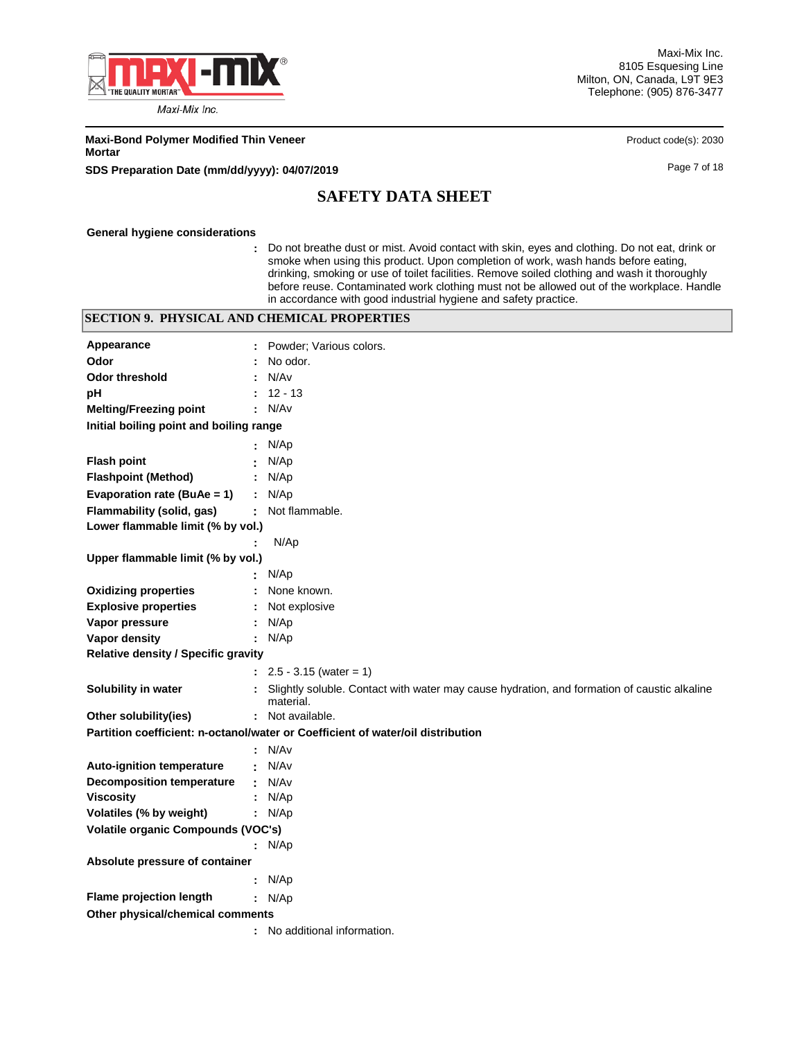

Maxi-Mix Inc. 8105 Esquesing Line Milton, ON, Canada, L9T 9E3 Telephone: (905) 876-3477

**Maxi-Bond Polymer Modified Thin Veneer Product code(s): 2030** Product code(s): 2030 **Mortar**

**SDS Preparation Date (mm/dd/yyyy): 04/07/2019 Page 7 of 18** Page 7 of 18

# **SAFETY DATA SHEET**

#### **General hygiene considerations**

**:** Do not breathe dust or mist. Avoid contact with skin, eyes and clothing. Do not eat, drink or smoke when using this product. Upon completion of work, wash hands before eating, drinking, smoking or use of toilet facilities. Remove soiled clothing and wash it thoroughly before reuse. Contaminated work clothing must not be allowed out of the workplace. Handle in accordance with good industrial hygiene and safety practice.

### **SECTION 9. PHYSICAL AND CHEMICAL PROPERTIES**

| Appearance                                 | Powder; Various colors.                                                                                  |  |
|--------------------------------------------|----------------------------------------------------------------------------------------------------------|--|
| Odor                                       | No odor.                                                                                                 |  |
| <b>Odor threshold</b>                      | N/Av                                                                                                     |  |
| рH                                         | $12 - 13$                                                                                                |  |
| <b>Melting/Freezing point</b>              | N/Av                                                                                                     |  |
| Initial boiling point and boiling range    |                                                                                                          |  |
|                                            | N/Ap                                                                                                     |  |
| <b>Flash point</b>                         | N/Ap                                                                                                     |  |
| <b>Flashpoint (Method)</b>                 | N/Ap                                                                                                     |  |
| Evaporation rate (BuAe = 1)                | N/Ap                                                                                                     |  |
| Flammability (solid, gas)                  | Not flammable.<br>÷.                                                                                     |  |
| Lower flammable limit (% by vol.)          |                                                                                                          |  |
|                                            | N/Ap                                                                                                     |  |
| Upper flammable limit (% by vol.)          |                                                                                                          |  |
|                                            | N/Ap                                                                                                     |  |
| <b>Oxidizing properties</b>                | None known.                                                                                              |  |
| <b>Explosive properties</b>                | Not explosive                                                                                            |  |
| Vapor pressure                             | N/Ap                                                                                                     |  |
| Vapor density                              | : $N/Ap$                                                                                                 |  |
| <b>Relative density / Specific gravity</b> |                                                                                                          |  |
|                                            | $: 2.5 - 3.15$ (water = 1)                                                                               |  |
| Solubility in water                        | Slightly soluble. Contact with water may cause hydration, and formation of caustic alkaline<br>material. |  |
| Other solubility(ies)                      | : Not available.                                                                                         |  |
|                                            | Partition coefficient: n-octanol/water or Coefficient of water/oil distribution                          |  |
|                                            | : N/Av                                                                                                   |  |
| <b>Auto-ignition temperature</b>           | N/Av                                                                                                     |  |
| <b>Decomposition temperature</b>           | N/Av<br>÷.                                                                                               |  |
| <b>Viscosity</b>                           | N/Ap                                                                                                     |  |
| Volatiles (% by weight)                    | : $N/Ap$                                                                                                 |  |
| Volatile organic Compounds (VOC's)         |                                                                                                          |  |
|                                            | : $N/Ap$                                                                                                 |  |
| Absolute pressure of container             |                                                                                                          |  |
|                                            | : $N/Ap$                                                                                                 |  |
| Flame projection length                    | : $N/Ap$                                                                                                 |  |
| Other physical/chemical comments           |                                                                                                          |  |
|                                            | : No additional information.                                                                             |  |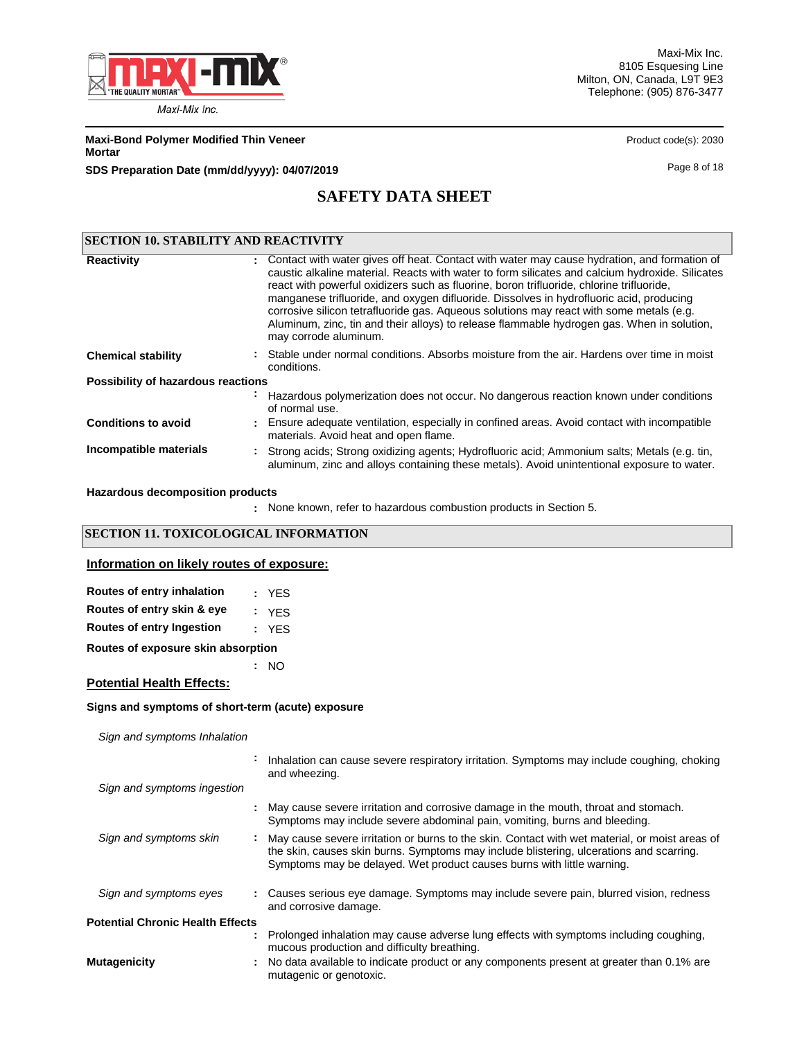

Maxi-Mix Inc. 8105 Esquesing Line Milton, ON, Canada, L9T 9E3 Telephone: (905) 876-3477

**Maxi-Bond Polymer Modified Thin Veneer Product code(s): 2030** Product code(s): 2030 **Mortar**

**SDS Preparation Date (mm/dd/yyyy): 04/07/2019 Page 8 of 18** 

# **SAFETY DATA SHEET**

| <b>SECTION 10. STABILITY AND REACTIVITY</b> |                                                                                                                                                                                                                                                                                                                                                                                                                                                                                                                                                                                                           |
|---------------------------------------------|-----------------------------------------------------------------------------------------------------------------------------------------------------------------------------------------------------------------------------------------------------------------------------------------------------------------------------------------------------------------------------------------------------------------------------------------------------------------------------------------------------------------------------------------------------------------------------------------------------------|
| <b>Reactivity</b>                           | : Contact with water gives off heat. Contact with water may cause hydration, and formation of<br>caustic alkaline material. Reacts with water to form silicates and calcium hydroxide. Silicates<br>react with powerful oxidizers such as fluorine, boron trifluoride, chlorine trifluoride,<br>manganese trifluoride, and oxygen difluoride. Dissolves in hydrofluoric acid, producing<br>corrosive silicon tetrafluoride gas. Aqueous solutions may react with some metals (e.g.<br>Aluminum, zinc, tin and their alloys) to release flammable hydrogen gas. When in solution,<br>may corrode aluminum. |
| <b>Chemical stability</b>                   | : Stable under normal conditions. Absorbs moisture from the air. Hardens over time in moist<br>conditions.                                                                                                                                                                                                                                                                                                                                                                                                                                                                                                |
| Possibility of hazardous reactions          |                                                                                                                                                                                                                                                                                                                                                                                                                                                                                                                                                                                                           |
|                                             | Hazardous polymerization does not occur. No dangerous reaction known under conditions<br>of normal use.                                                                                                                                                                                                                                                                                                                                                                                                                                                                                                   |
| <b>Conditions to avoid</b>                  | : Ensure adequate ventilation, especially in confined areas. Avoid contact with incompatible<br>materials. Avoid heat and open flame.                                                                                                                                                                                                                                                                                                                                                                                                                                                                     |
| Incompatible materials                      | : Strong acids; Strong oxidizing agents; Hydrofluoric acid; Ammonium salts; Metals (e.g. tin,<br>aluminum, zinc and alloys containing these metals). Avoid unintentional exposure to water.                                                                                                                                                                                                                                                                                                                                                                                                               |

**Hazardous decomposition products**

None known, refer to hazardous combustion products in Section 5. **:**

### **SECTION 11. TOXICOLOGICAL INFORMATION**

### **Information on likely routes of exposure:**

| Routes of entry inhalation | : YES |
|----------------------------|-------|
| Routes of entry skin & eye | : YFS |
| Routes of entry Ingestion  | : YFS |

**Routes of exposure skin absorption**

### **Potential Health Effects:**

### **Signs and symptoms of short-term (acute) exposure**

**:** NO

*Sign and symptoms Inhalation*

|                                         | $\bullet$ | Inhalation can cause severe respiratory irritation. Symptoms may include coughing, choking<br>and wheezing.                                                                                                                                                           |
|-----------------------------------------|-----------|-----------------------------------------------------------------------------------------------------------------------------------------------------------------------------------------------------------------------------------------------------------------------|
| Sign and symptoms ingestion             |           |                                                                                                                                                                                                                                                                       |
|                                         |           | : May cause severe irritation and corrosive damage in the mouth, throat and stomach.<br>Symptoms may include severe abdominal pain, vomiting, burns and bleeding.                                                                                                     |
| Sign and symptoms skin                  |           | : May cause severe irritation or burns to the skin. Contact with wet material, or moist areas of<br>the skin, causes skin burns. Symptoms may include blistering, ulcerations and scarring.<br>Symptoms may be delayed. Wet product causes burns with little warning. |
| Sign and symptoms eyes                  |           | : Causes serious eye damage. Symptoms may include severe pain, blurred vision, redness<br>and corrosive damage.                                                                                                                                                       |
| <b>Potential Chronic Health Effects</b> |           |                                                                                                                                                                                                                                                                       |
|                                         |           | : Prolonged inhalation may cause adverse lung effects with symptoms including coughing,<br>mucous production and difficulty breathing.                                                                                                                                |
| Mutagenicity                            |           | . No data available to indicate product or any components present at greater than 0.1% are<br>mutagenic or genotoxic.                                                                                                                                                 |
|                                         |           |                                                                                                                                                                                                                                                                       |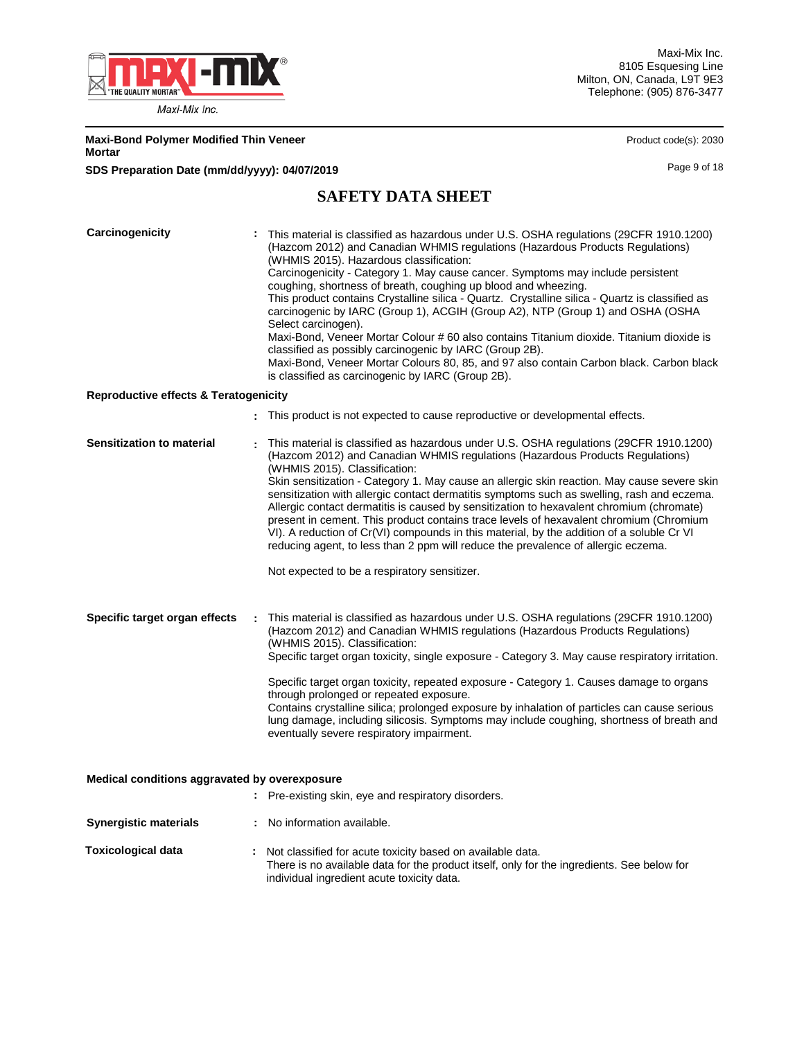

Maxi-Mix Inc. 8105 Esquesing Line Milton, ON, Canada, L9T 9E3 Telephone: (905) 876-3477

Product code(s): 2030

| <b>Maxi-Bond Polymer Modified Thin Veneer</b> |  |
|-----------------------------------------------|--|
| Mortar                                        |  |

**SDS Preparation Date (mm/dd/yyyy): 04/07/2019 Page 9 of 18** Page 9 of 18

# **SAFETY DATA SHEET**

| Carcinogenicity<br><b>Reproductive effects &amp; Teratogenicity</b> |  | This material is classified as hazardous under U.S. OSHA regulations (29CFR 1910.1200)<br>(Hazcom 2012) and Canadian WHMIS regulations (Hazardous Products Regulations)<br>(WHMIS 2015). Hazardous classification:<br>Carcinogenicity - Category 1. May cause cancer. Symptoms may include persistent<br>coughing, shortness of breath, coughing up blood and wheezing.<br>This product contains Crystalline silica - Quartz. Crystalline silica - Quartz is classified as<br>carcinogenic by IARC (Group 1), ACGIH (Group A2), NTP (Group 1) and OSHA (OSHA<br>Select carcinogen).<br>Maxi-Bond, Veneer Mortar Colour # 60 also contains Titanium dioxide. Titanium dioxide is<br>classified as possibly carcinogenic by IARC (Group 2B).<br>Maxi-Bond, Veneer Mortar Colours 80, 85, and 97 also contain Carbon black. Carbon black<br>is classified as carcinogenic by IARC (Group 2B). |  |  |  |  |  |
|---------------------------------------------------------------------|--|--------------------------------------------------------------------------------------------------------------------------------------------------------------------------------------------------------------------------------------------------------------------------------------------------------------------------------------------------------------------------------------------------------------------------------------------------------------------------------------------------------------------------------------------------------------------------------------------------------------------------------------------------------------------------------------------------------------------------------------------------------------------------------------------------------------------------------------------------------------------------------------------|--|--|--|--|--|
|                                                                     |  |                                                                                                                                                                                                                                                                                                                                                                                                                                                                                                                                                                                                                                                                                                                                                                                                                                                                                            |  |  |  |  |  |
|                                                                     |  | : This product is not expected to cause reproductive or developmental effects.                                                                                                                                                                                                                                                                                                                                                                                                                                                                                                                                                                                                                                                                                                                                                                                                             |  |  |  |  |  |
| Sensitization to material                                           |  | This material is classified as hazardous under U.S. OSHA regulations (29CFR 1910.1200)<br>(Hazcom 2012) and Canadian WHMIS regulations (Hazardous Products Regulations)<br>(WHMIS 2015). Classification:<br>Skin sensitization - Category 1. May cause an allergic skin reaction. May cause severe skin<br>sensitization with allergic contact dermatitis symptoms such as swelling, rash and eczema.<br>Allergic contact dermatitis is caused by sensitization to hexavalent chromium (chromate)<br>present in cement. This product contains trace levels of hexavalent chromium (Chromium<br>VI). A reduction of Cr(VI) compounds in this material, by the addition of a soluble Cr VI<br>reducing agent, to less than 2 ppm will reduce the prevalence of allergic eczema.<br>Not expected to be a respiratory sensitizer.                                                              |  |  |  |  |  |
|                                                                     |  |                                                                                                                                                                                                                                                                                                                                                                                                                                                                                                                                                                                                                                                                                                                                                                                                                                                                                            |  |  |  |  |  |
| Specific target organ effects                                       |  | This material is classified as hazardous under U.S. OSHA regulations (29CFR 1910.1200)<br>(Hazcom 2012) and Canadian WHMIS regulations (Hazardous Products Regulations)<br>(WHMIS 2015). Classification:<br>Specific target organ toxicity, single exposure - Category 3. May cause respiratory irritation.<br>Specific target organ toxicity, repeated exposure - Category 1. Causes damage to organs<br>through prolonged or repeated exposure.<br>Contains crystalline silica; prolonged exposure by inhalation of particles can cause serious<br>lung damage, including silicosis. Symptoms may include coughing, shortness of breath and<br>eventually severe respiratory impairment.                                                                                                                                                                                                 |  |  |  |  |  |
| Medical conditions aggravated by overexposure                       |  |                                                                                                                                                                                                                                                                                                                                                                                                                                                                                                                                                                                                                                                                                                                                                                                                                                                                                            |  |  |  |  |  |
|                                                                     |  | : Pre-existing skin, eye and respiratory disorders.                                                                                                                                                                                                                                                                                                                                                                                                                                                                                                                                                                                                                                                                                                                                                                                                                                        |  |  |  |  |  |
| <b>Synergistic materials</b>                                        |  | : No information available.                                                                                                                                                                                                                                                                                                                                                                                                                                                                                                                                                                                                                                                                                                                                                                                                                                                                |  |  |  |  |  |
| <b>Toxicological data</b>                                           |  | : Not classified for acute toxicity based on available data.<br>There is no available data for the product itself, only for the ingredients. See below for<br>individual ingredient acute toxicity data.                                                                                                                                                                                                                                                                                                                                                                                                                                                                                                                                                                                                                                                                                   |  |  |  |  |  |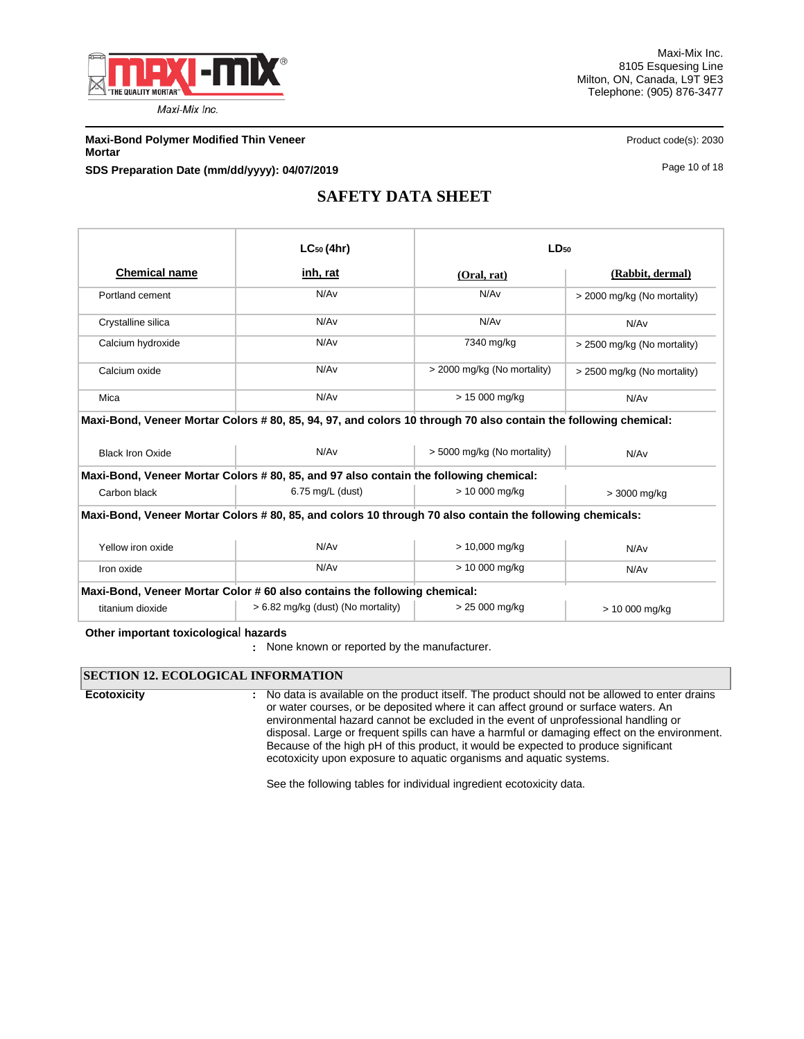

**Maxi-Bond Polymer Modified Thin Veneer Product code(s): 2030** Product code(s): 2030 **Mortar**

**SDS Preparation Date (mm/dd/yyyy): 04/07/2019 Page 10 of 18** Page 10 of 18

# **SAFETY DATA SHEET**

|                         | $LC_{50}$ (4hr)                                                                                                 | $LD_{50}$                                 |                             |  |  |
|-------------------------|-----------------------------------------------------------------------------------------------------------------|-------------------------------------------|-----------------------------|--|--|
| <b>Chemical name</b>    | inh, rat                                                                                                        | (Oral, rat)                               | (Rabbit, dermal)            |  |  |
| Portland cement         | N/Av                                                                                                            | N/A <sub>v</sub>                          | > 2000 mg/kg (No mortality) |  |  |
| Crystalline silica      | N/Av                                                                                                            | N/Av                                      | N/Av                        |  |  |
| Calcium hydroxide       | N/Av                                                                                                            | 7340 mg/kg<br>> 2500 mg/kg (No mortality) |                             |  |  |
| Calcium oxide           | N/Av                                                                                                            | > 2000 mg/kg (No mortality)               | > 2500 mg/kg (No mortality) |  |  |
| Mica                    | N/Av                                                                                                            | $> 15000$ mg/kg                           | N/Av                        |  |  |
|                         | Maxi-Bond, Veneer Mortar Colors # 80, 85, 94, 97, and colors 10 through 70 also contain the following chemical: |                                           |                             |  |  |
| <b>Black Iron Oxide</b> | N/Av                                                                                                            | > 5000 mg/kg (No mortality)               | N/Av                        |  |  |
|                         | Maxi-Bond, Veneer Mortar Colors #80, 85, and 97 also contain the following chemical:                            |                                           |                             |  |  |
| Carbon black            | 6.75 mg/L (dust)                                                                                                | > 10 000 mg/kg                            | > 3000 mg/kg                |  |  |
|                         |                                                                                                                 |                                           |                             |  |  |
|                         | Maxi-Bond, Veneer Mortar Colors #80, 85, and colors 10 through 70 also contain the following chemicals:         |                                           |                             |  |  |
| Yellow iron oxide       | N/Av                                                                                                            | $> 10,000$ mg/kg                          | N/Av                        |  |  |
| Iron oxide              | N/Av                                                                                                            | > 10 000 mg/kg                            | N/Av                        |  |  |
|                         | Maxi-Bond, Veneer Mortar Color #60 also contains the following chemical:                                        |                                           |                             |  |  |

**Other important toxicologica**l **hazards**

### **SECTION 12. ECOLOGICAL INFORMATION**

**Ecotoxicity :**

No data is available on the product itself. The product should not be allowed to enter drains or water courses, or be deposited where it can affect ground or surface waters. An environmental hazard cannot be excluded in the event of unprofessional handling or disposal. Large or frequent spills can have a harmful or damaging effect on the environment. Because of the high pH of this product, it would be expected to produce significant ecotoxicity upon exposure to aquatic organisms and aquatic systems.

See the following tables for individual ingredient ecotoxicity data.

**<sup>:</sup>** None known or reported by the manufacturer.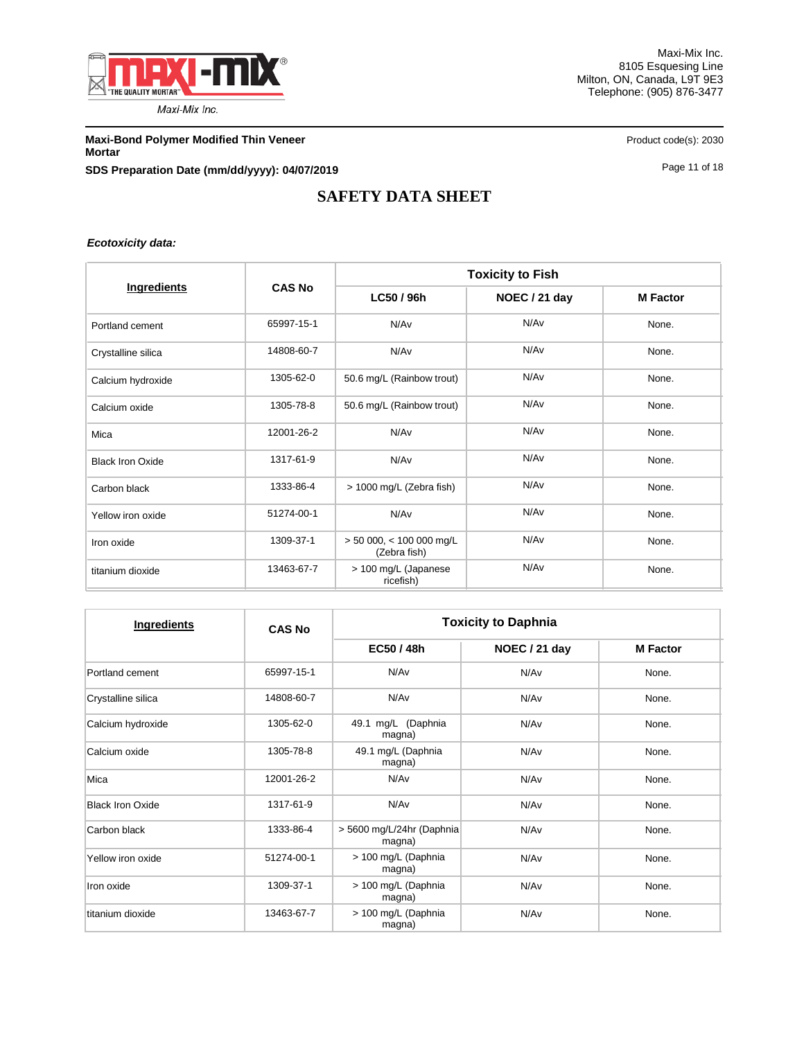

**Maxi-Bond Polymer Modified Thin Veneer Product code(s): 2030** Product code(s): 2030 **Mortar SDS Preparation Date (mm/dd/yyyy): 04/07/2019 Page 11 of 18** Page 11 of 18

# **SAFETY DATA SHEET**

*Ecotoxicity data:*

|                         |               | <b>Toxicity to Fish</b>                                        |                  |                 |  |  |
|-------------------------|---------------|----------------------------------------------------------------|------------------|-----------------|--|--|
| Ingredients             | <b>CAS No</b> | LC50 / 96h                                                     | NOEC / 21 day    | <b>M Factor</b> |  |  |
| Portland cement         | 65997-15-1    | N/Av                                                           | N/Av             | None.           |  |  |
| Crystalline silica      | 14808-60-7    | N/Av                                                           | N/Av             | None.           |  |  |
| Calcium hydroxide       | 1305-62-0     | 50.6 mg/L (Rainbow trout)                                      | N/A <sub>v</sub> | None.           |  |  |
| Calcium oxide           | 1305-78-8     | 50.6 mg/L (Rainbow trout)                                      | N/Av             |                 |  |  |
| Mica                    | 12001-26-2    | N/Av                                                           | N/A <sub>v</sub> | None.           |  |  |
| <b>Black Iron Oxide</b> | 1317-61-9     | N/Av                                                           | N/Av             | None.           |  |  |
| Carbon black            | 1333-86-4     | > 1000 mg/L (Zebra fish)                                       | N/Av             | None.           |  |  |
| Yellow iron oxide       | 51274-00-1    | N/Av                                                           | N/A <sub>v</sub> | None.           |  |  |
| Iron oxide              | 1309-37-1     | N/A <sub>v</sub><br>$> 50000$ , < 100 000 mg/L<br>(Zebra fish) |                  | None.           |  |  |
| titanium dioxide        | 13463-67-7    | > 100 mg/L (Japanese<br>ricefish)                              | N/Av             | None.           |  |  |

| Ingredients             | <b>CAS No</b> |                                       | <b>Toxicity to Daphnia</b> |                 |  |  |
|-------------------------|---------------|---------------------------------------|----------------------------|-----------------|--|--|
|                         |               | EC50 / 48h                            | NOEC / 21 day              | <b>M</b> Factor |  |  |
| Portland cement         | 65997-15-1    | N/Av                                  | N/Av                       | None.           |  |  |
| Crystalline silica      | 14808-60-7    | N/Av                                  | N/Av                       | None.           |  |  |
| Calcium hydroxide       | 1305-62-0     | 49.1 mg/L (Daphnia<br>magna)          | N/Av                       | None.           |  |  |
| Calcium oxide           | 1305-78-8     | 49.1 mg/L (Daphnia<br>magna)          | N/Av                       | None.           |  |  |
| Mica                    | 12001-26-2    | N/Av                                  | N/Av                       | None.           |  |  |
| <b>Black Iron Oxide</b> | 1317-61-9     | N/Av                                  | N/Av                       | None.           |  |  |
| Carbon black            | 1333-86-4     | > 5600 mg/L/24hr (Daphnia<br>magna)   | N/Av                       | None.           |  |  |
| Yellow iron oxide       | 51274-00-1    | > 100 mg/L (Daphnia<br>magna)         | N/Av                       |                 |  |  |
| Iron oxide              | 1309-37-1     | > 100 mg/L (Daphnia<br>N/Av<br>magna) |                            | None.           |  |  |
| titanium dioxide        | 13463-67-7    | > 100 mg/L (Daphnia<br>magna)         | N/Av                       | None.           |  |  |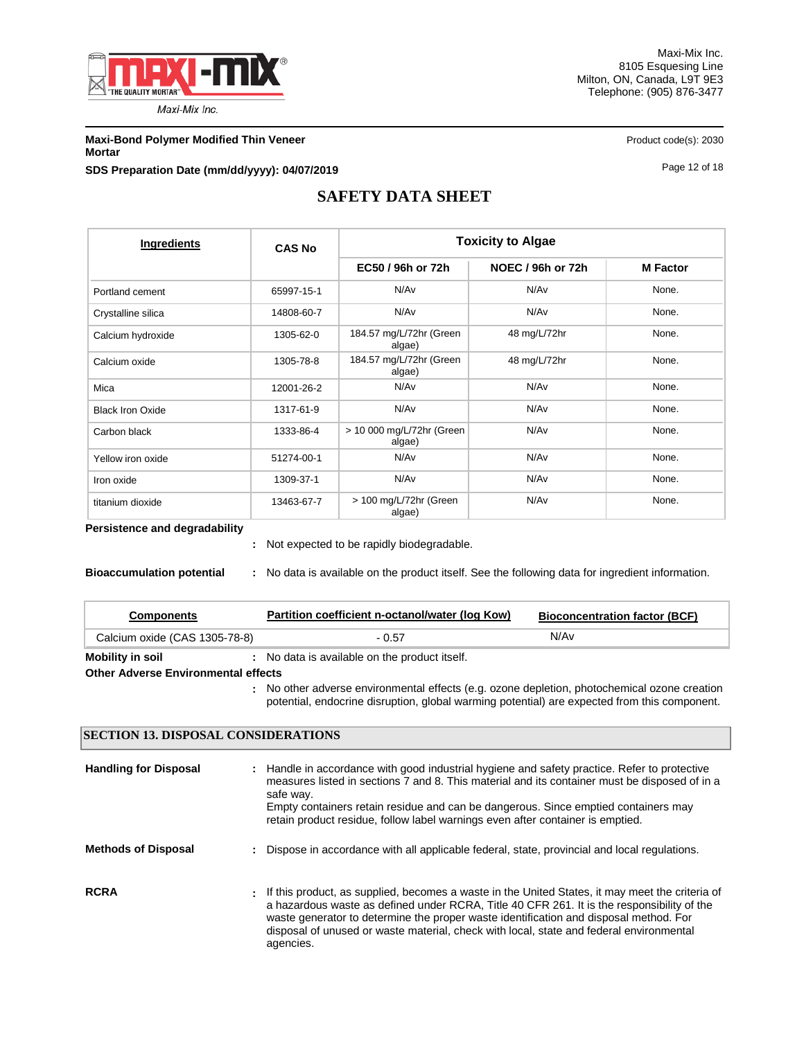

Maxi-Mix Inc. 8105 Esquesing Line Milton, ON, Canada, L9T 9E3 Telephone: (905) 876-3477

**Maxi-Bond Polymer Modified Thin Veneer Product code(s): 2030** Product code(s): 2030

**Mortar**

**SDS Preparation Date (mm/dd/yyyy): 04/07/2019 Page 12 of 18** Page 12 of 18

# **SAFETY DATA SHEET**

| Ingredients             | <b>CAS No</b> |                                     | <b>Toxicity to Algae</b> |                 |
|-------------------------|---------------|-------------------------------------|--------------------------|-----------------|
|                         |               | EC50 / 96h or 72h                   | NOEC / 96h or 72h        | <b>M</b> Factor |
| Portland cement         | 65997-15-1    | N/Av                                | N/A <sub>v</sub>         | None.           |
| Crystalline silica      | 14808-60-7    | N/Av                                | N/Av                     | None.           |
| Calcium hydroxide       | 1305-62-0     | 184.57 mg/L/72hr (Green<br>algae)   | 48 mg/L/72hr             | None.           |
| Calcium oxide           | 1305-78-8     | 184.57 mg/L/72hr (Green<br>algae)   | 48 mg/L/72hr             |                 |
| Mica                    | 12001-26-2    | N/Av                                | N/Av                     | None.           |
| <b>Black Iron Oxide</b> | 1317-61-9     | N/Av                                | N/Av                     | None.           |
| Carbon black            | 1333-86-4     | > 10 000 mg/L/72hr (Green<br>algae) | N/A <sub>v</sub>         | None.           |
| Yellow iron oxide       | 51274-00-1    | N/Av                                | N/Av                     | None.           |
| Iron oxide              | 1309-37-1     | N/Av                                | N/Av                     | None.           |
| titanium dioxide        | 13463-67-7    | > 100 mg/L/72hr (Green<br>algae)    | N/Av                     | None.           |

**Persistence and degradability**

Not expected to be rapidly biodegradable. **:**

**Bioaccumulation potential :** No data is available on the product itself. See the following data for ingredient information.

| <b>Components</b>                          | Partition coefficient n-octanol/water (log Kow)                                                                                                                                              | <b>Bioconcentration factor (BCF)</b> |  |  |  |  |  |
|--------------------------------------------|----------------------------------------------------------------------------------------------------------------------------------------------------------------------------------------------|--------------------------------------|--|--|--|--|--|
| Calcium oxide (CAS 1305-78-8)              | - 0.57                                                                                                                                                                                       | N/Av                                 |  |  |  |  |  |
| <b>Mobility in soil</b>                    | : No data is available on the product itself.                                                                                                                                                |                                      |  |  |  |  |  |
| <b>Other Adverse Environmental effects</b> |                                                                                                                                                                                              |                                      |  |  |  |  |  |
|                                            | : No other adverse environmental effects (e.g. ozone depletion, photochemical ozone creation<br>potential, endocrine disruption, global warming potential) are expected from this component. |                                      |  |  |  |  |  |

### **SECTION 13. DISPOSAL CONSIDERATIONS**

| <b>Handling for Disposal</b> |               | : Handle in accordance with good industrial hygiene and safety practice. Refer to protective<br>measures listed in sections 7 and 8. This material and its container must be disposed of in a<br>safe way.<br>Empty containers retain residue and can be dangerous. Since emptied containers may<br>retain product residue, follow label warnings even after container is emptied.               |
|------------------------------|---------------|--------------------------------------------------------------------------------------------------------------------------------------------------------------------------------------------------------------------------------------------------------------------------------------------------------------------------------------------------------------------------------------------------|
| <b>Methods of Disposal</b>   | $\mathcal{L}$ | Dispose in accordance with all applicable federal, state, provincial and local regulations.                                                                                                                                                                                                                                                                                                      |
| <b>RCRA</b>                  |               | t If this product, as supplied, becomes a waste in the United States, it may meet the criteria of<br>a hazardous waste as defined under RCRA. Title 40 CFR 261. It is the responsibility of the<br>waste generator to determine the proper waste identification and disposal method. For<br>disposal of unused or waste material, check with local, state and federal environmental<br>agencies. |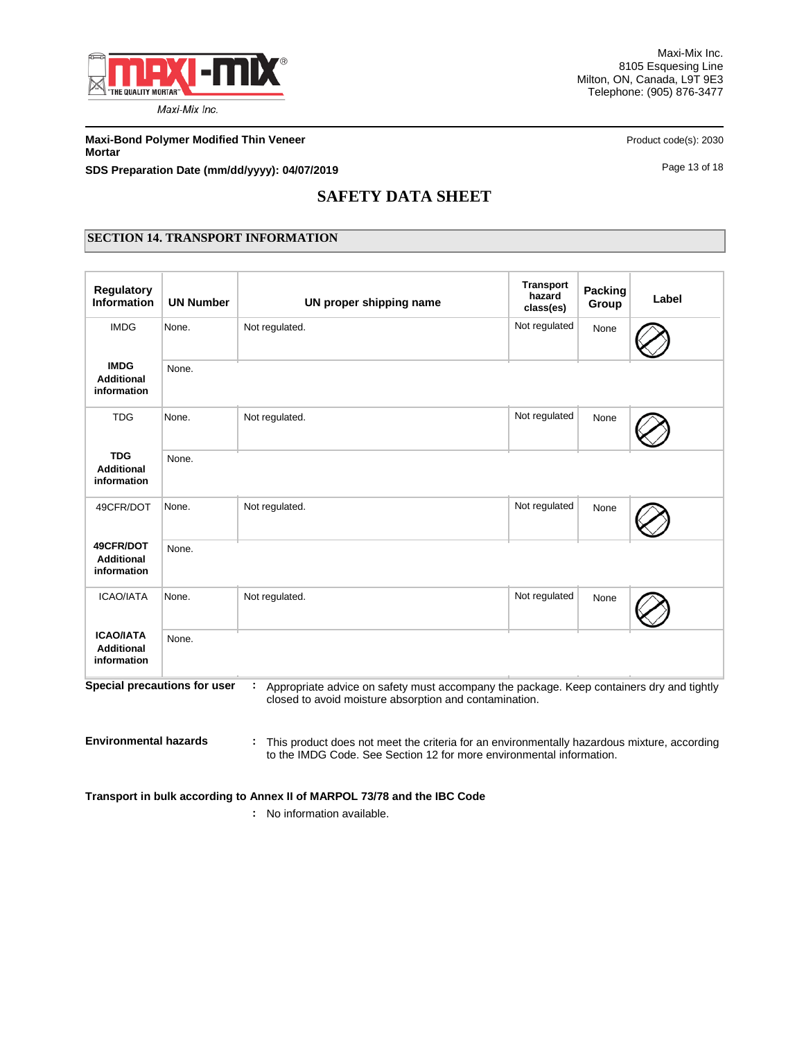

Maxi-Mix Inc. 8105 Esquesing Line Milton, ON, Canada, L9T 9E3 Telephone: (905) 876-3477

**Maxi-Bond Polymer Modified Thin Veneer Product code(s): 2030** Product code(s): 2030 **Mortar**

**SDS Preparation Date (mm/dd/yyyy): 04/07/2019 Page 13 of 18** Page 13 of 18

# **SAFETY DATA SHEET**

### **SECTION 14. TRANSPORT INFORMATION**

| <b>Regulatory</b><br><b>Information</b>              | <b>UN Number</b>             | UN proper shipping name                                                                                                                            | <b>Transport</b><br>hazard<br>class(es) | <b>Packing</b><br>Group | Label |
|------------------------------------------------------|------------------------------|----------------------------------------------------------------------------------------------------------------------------------------------------|-----------------------------------------|-------------------------|-------|
| <b>IMDG</b>                                          | None.                        | Not regulated.                                                                                                                                     | Not regulated                           | None                    |       |
| <b>IMDG</b><br><b>Additional</b><br>information      | None.                        |                                                                                                                                                    |                                         |                         |       |
| <b>TDG</b>                                           | None.                        | Not regulated.                                                                                                                                     | Not regulated                           | None                    |       |
| <b>TDG</b><br><b>Additional</b><br>information       | None.                        |                                                                                                                                                    |                                         |                         |       |
| 49CFR/DOT                                            | None.                        | Not regulated.                                                                                                                                     | Not regulated                           | None                    |       |
| 49CFR/DOT<br><b>Additional</b><br>information        | None.                        |                                                                                                                                                    |                                         |                         |       |
| <b>ICAO/IATA</b>                                     | None.                        | Not regulated.                                                                                                                                     | Not regulated                           | None                    |       |
| <b>ICAO/IATA</b><br><b>Additional</b><br>information | None.                        |                                                                                                                                                    |                                         |                         |       |
|                                                      | Special precautions for user | Appropriate advice on safety must accompany the package. Keep containers dry and tightly<br>closed to avoid moisture absorption and contamination. |                                         |                         |       |
| <b>Environmental hazards</b>                         |                              | This product does not meet the criteria for an environmentally hazardous mixture, according<br>τ.                                                  |                                         |                         |       |

to the IMDG Code. See Section 12 for more environmental information.

**Transport in bulk according to Annex II of MARPOL 73/78 and the IBC Code**

**:** No information available.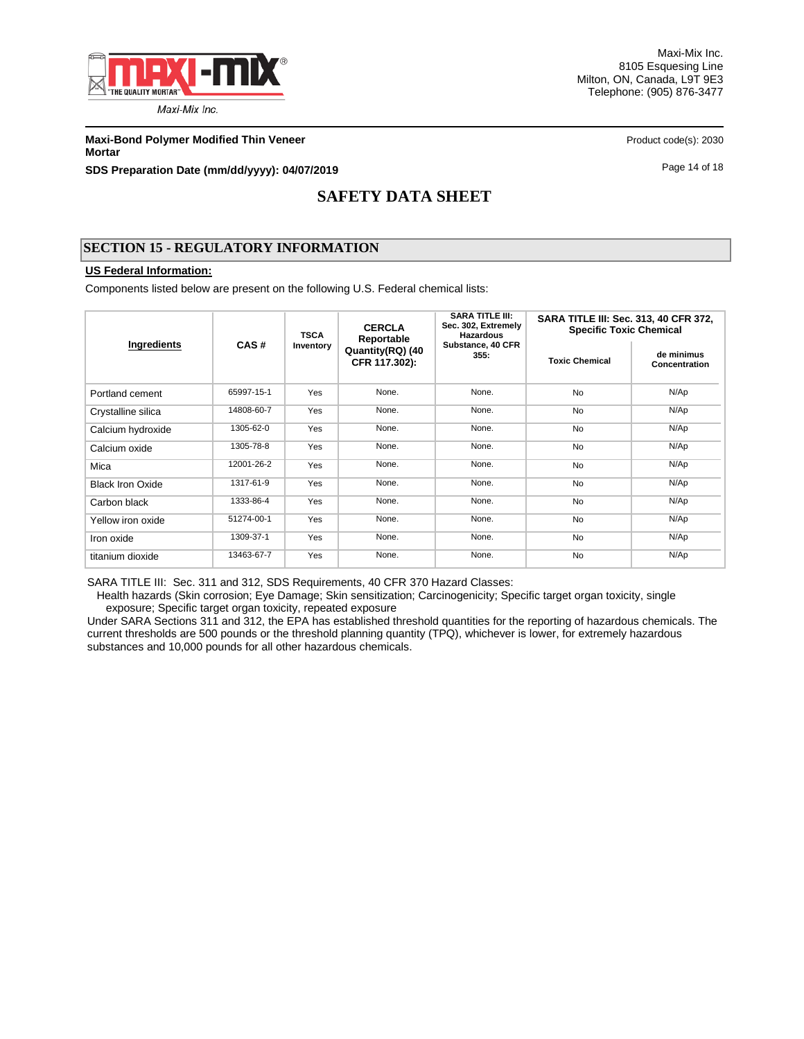

Maxi-Mix Inc. 8105 Esquesing Line Milton, ON, Canada, L9T 9E3 Telephone: (905) 876-3477

**Maxi-Bond Polymer Modified Thin Veneer Product code(s): 2030** Product code(s): 2030 **Mortar**

**SDS Preparation Date (mm/dd/yyyy): 04/07/2019 Page 14 of 18** Page 14 of 18

# **SAFETY DATA SHEET**

### **SECTION 15 - REGULATORY INFORMATION**

### **US Federal Information:**

Components listed below are present on the following U.S. Federal chemical lists:

| Ingredients             |            | <b>TSCA</b> | <b>CERCLA</b><br>Reportable       | <b>SARA TITLE III:</b><br>Sec. 302, Extremely<br><b>Hazardous</b> | SARA TITLE III: Sec. 313, 40 CFR 372,<br><b>Specific Toxic Chemical</b> |                             |  |
|-------------------------|------------|-------------|-----------------------------------|-------------------------------------------------------------------|-------------------------------------------------------------------------|-----------------------------|--|
|                         | CAS#       | Inventory   | Quantity(RQ) (40<br>CFR 117.302): | Substance, 40 CFR<br>355.                                         | <b>Toxic Chemical</b>                                                   | de minimus<br>Concentration |  |
| Portland cement         | 65997-15-1 | <b>Yes</b>  | None.                             | None.                                                             | <b>No</b>                                                               | N/Ap                        |  |
| Crystalline silica      | 14808-60-7 | Yes         | None.                             | None.                                                             | <b>No</b>                                                               | N/Ap                        |  |
| Calcium hydroxide       | 1305-62-0  | Yes         | None.                             | None.                                                             | <b>No</b>                                                               | N/Ap                        |  |
| Calcium oxide           | 1305-78-8  | Yes         | None.                             | None.                                                             |                                                                         | N/Ap                        |  |
| Mica                    | 12001-26-2 | Yes         | None.                             | None.                                                             | <b>No</b>                                                               | N/Ap                        |  |
| <b>Black Iron Oxide</b> | 1317-61-9  | Yes         | None.                             | None.                                                             | <b>No</b>                                                               | N/Ap                        |  |
| Carbon black            | 1333-86-4  | Yes         | None.                             | None.                                                             | <b>No</b>                                                               | N/Ap                        |  |
| Yellow iron oxide       | 51274-00-1 | Yes         | None.                             | None.                                                             | No                                                                      | N/Ap                        |  |
| Iron oxide              | 1309-37-1  | Yes         | None.                             | None.                                                             | <b>No</b>                                                               | N/Ap                        |  |
| titanium dioxide        | 13463-67-7 | Yes         | None.                             | None.                                                             | <b>No</b>                                                               | N/Ap                        |  |

SARA TITLE III: Sec. 311 and 312, SDS Requirements, 40 CFR 370 Hazard Classes:

 Health hazards (Skin corrosion; Eye Damage; Skin sensitization; Carcinogenicity; Specific target organ toxicity, single exposure; Specific target organ toxicity, repeated exposure

Under SARA Sections 311 and 312, the EPA has established threshold quantities for the reporting of hazardous chemicals. The current thresholds are 500 pounds or the threshold planning quantity (TPQ), whichever is lower, for extremely hazardous substances and 10,000 pounds for all other hazardous chemicals.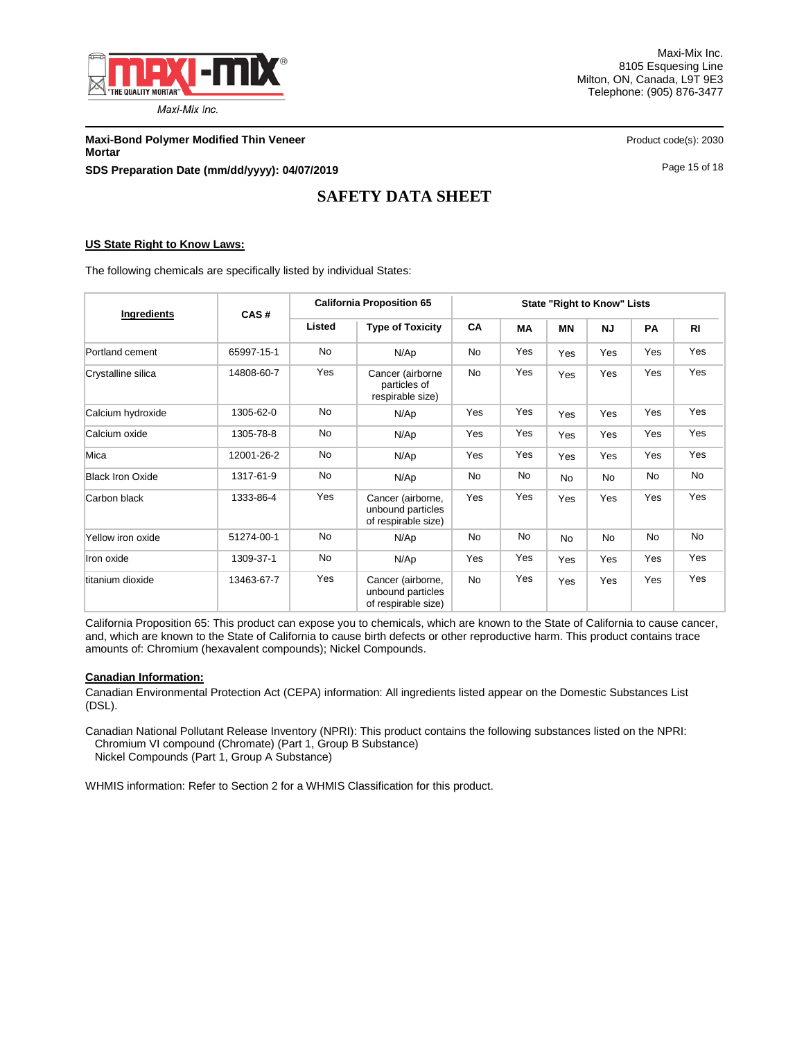

Maxi-Mix Inc. 8105 Esquesing Line Milton, ON, Canada, L9T 9E3 Telephone: (905) 876-3477

**Maxi-Bond Polymer Modified Thin Veneer Product code(s): 2030** Product code(s): 2030 **Mortar SDS Preparation Date (mm/dd/yyyy): 04/07/2019 Page 15 of 18** Page 15 of 18

# **SAFETY DATA SHEET**

### **US State Right to Know Laws:**

The following chemicals are specifically listed by individual States:

| Ingredients             | CAS#       | <b>California Proposition 65</b>                            |                                                               | <b>State "Right to Know" Lists</b> |           |           |           |           |                |
|-------------------------|------------|-------------------------------------------------------------|---------------------------------------------------------------|------------------------------------|-----------|-----------|-----------|-----------|----------------|
|                         |            | Listed                                                      | <b>Type of Toxicity</b>                                       | <b>CA</b>                          | MА        | <b>MN</b> | <b>NJ</b> | <b>PA</b> | R <sub>l</sub> |
| Portland cement         | 65997-15-1 | <b>No</b>                                                   | N/Ap                                                          | <b>No</b>                          | Yes       | Yes       | Yes       | Yes       | Yes            |
| Crystalline silica      | 14808-60-7 | Yes<br>Cancer (airborne<br>particles of<br>respirable size) |                                                               | No                                 | Yes       | Yes       | Yes       | Yes       | Yes            |
| Calcium hydroxide       | 1305-62-0  | <b>No</b>                                                   | N/Ap                                                          | Yes                                | Yes       | Yes       | Yes       | Yes       | Yes            |
| Calcium oxide           | 1305-78-8  | No                                                          | N/Ap                                                          | Yes                                | Yes       | Yes       | Yes       | Yes       | Yes            |
| Mica                    | 12001-26-2 | No                                                          | N/Ap                                                          | Yes                                | Yes       | Yes       | Yes       | Yes       | Yes            |
| <b>Black Iron Oxide</b> | 1317-61-9  | No                                                          | N/Ap                                                          | <b>No</b>                          | No        | <b>No</b> | <b>No</b> | No.       | No             |
| Carbon black            | 1333-86-4  | Yes                                                         | Cancer (airborne,<br>unbound particles<br>of respirable size) | Yes                                | Yes       | Yes       | Yes       | Yes       | Yes            |
| Yellow iron oxide       | 51274-00-1 | <b>No</b>                                                   | N/Ap                                                          | No                                 | <b>No</b> | <b>No</b> | <b>No</b> | No        | <b>No</b>      |
| Iron oxide              | 1309-37-1  | <b>No</b>                                                   | N/Ap                                                          | Yes                                | Yes       | Yes       | Yes       | Yes       | Yes            |
| titanium dioxide        | 13463-67-7 | Yes                                                         | Cancer (airborne,<br>unbound particles<br>of respirable size) | <b>No</b>                          | Yes       | Yes       | Yes       | Yes       | Yes            |

California Proposition 65: This product can expose you to chemicals, which are known to the State of California to cause cancer, and, which are known to the State of California to cause birth defects or other reproductive harm. This product contains trace amounts of: Chromium (hexavalent compounds); Nickel Compounds.

### **Canadian Information:**

Canadian Environmental Protection Act (CEPA) information: All ingredients listed appear on the Domestic Substances List (DSL).

Canadian National Pollutant Release Inventory (NPRI): This product contains the following substances listed on the NPRI: Chromium VI compound (Chromate) (Part 1, Group B Substance) Nickel Compounds (Part 1, Group A Substance)

WHMIS information: Refer to Section 2 for a WHMIS Classification for this product.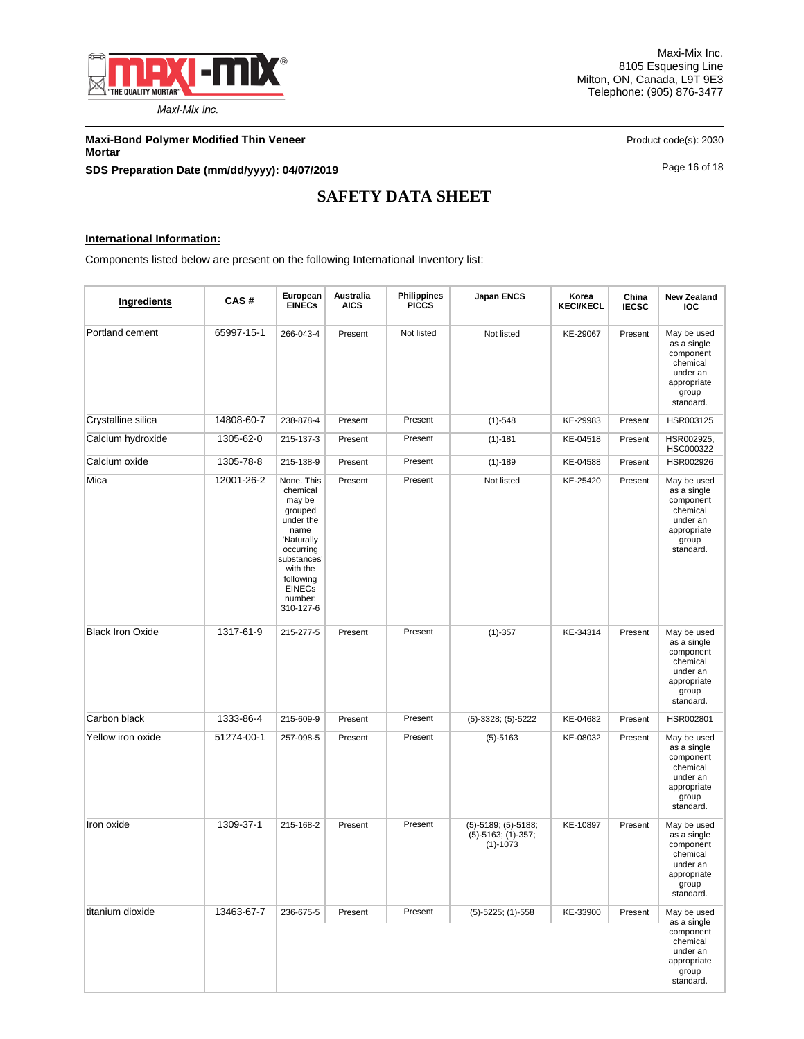

Maxi-Mix Inc. 8105 Esquesing Line Milton, ON, Canada, L9T 9E3 Telephone: (905) 876-3477

**Maxi-Bond Polymer Modified Thin Veneer Product code(s): 2030** Product code(s): 2030 **Mortar SDS Preparation Date (mm/dd/yyyy): 04/07/2019 Page 16 of 18** Page 16 of 18

# **SAFETY DATA SHEET**

### **International Information:**

Components listed below are present on the following International Inventory list:

| Ingredients             | CAS#       | European<br><b>EINECs</b>                                                                                                                                                    | Australia<br><b>AICS</b> | <b>Philippines</b><br><b>PICCS</b> | <b>Japan ENCS</b>                                           | Korea<br><b>KECI/KECL</b> | China<br><b>IECSC</b> | <b>New Zealand</b><br><b>IOC</b>                                                                     |
|-------------------------|------------|------------------------------------------------------------------------------------------------------------------------------------------------------------------------------|--------------------------|------------------------------------|-------------------------------------------------------------|---------------------------|-----------------------|------------------------------------------------------------------------------------------------------|
| Portland cement         | 65997-15-1 | 266-043-4                                                                                                                                                                    | Present                  | Not listed                         | Not listed                                                  | KE-29067                  | Present               | May be used<br>as a single<br>component<br>chemical<br>under an<br>appropriate<br>group<br>standard. |
| Crystalline silica      | 14808-60-7 | 238-878-4                                                                                                                                                                    | Present                  | Present                            | $(1)-548$                                                   | KE-29983                  | Present               | HSR003125                                                                                            |
| Calcium hydroxide       | 1305-62-0  | 215-137-3                                                                                                                                                                    | Present                  | Present                            | $(1) - 181$                                                 | KE-04518                  | Present               | HSR002925.<br>HSC000322                                                                              |
| Calcium oxide           | 1305-78-8  | 215-138-9                                                                                                                                                                    | Present                  | Present                            | $(1)-189$                                                   | KE-04588                  | Present               | HSR002926                                                                                            |
| Mica                    | 12001-26-2 | None. This<br>chemical<br>may be<br>grouped<br>under the<br>name<br>'Naturally<br>occurring<br>substances'<br>with the<br>following<br><b>EINECs</b><br>number:<br>310-127-6 | Present                  | Present                            | Not listed                                                  | KE-25420                  | Present               | May be used<br>as a single<br>component<br>chemical<br>under an<br>appropriate<br>group<br>standard. |
| <b>Black Iron Oxide</b> | 1317-61-9  | 215-277-5                                                                                                                                                                    | Present                  | Present                            | $(1) - 357$                                                 | KE-34314                  | Present               | May be used<br>as a single<br>component<br>chemical<br>under an<br>appropriate<br>group<br>standard. |
| Carbon black            | 1333-86-4  | 215-609-9                                                                                                                                                                    | Present                  | Present                            | $(5)-3328$ ; $(5)-5222$                                     | KE-04682                  | Present               | HSR002801                                                                                            |
| Yellow iron oxide       | 51274-00-1 | 257-098-5                                                                                                                                                                    | Present                  | Present                            | $(5)-5163$                                                  | KE-08032                  | Present               | May be used<br>as a single<br>component<br>chemical<br>under an<br>appropriate<br>group<br>standard. |
| Iron oxide              | 1309-37-1  | 215-168-2                                                                                                                                                                    | Present                  | Present                            | (5)-5189; (5)-5188;<br>$(5)-5163; (1)-357;$<br>$(1) - 1073$ | KE-10897                  | Present               | May be used<br>as a single<br>component<br>chemical<br>under an<br>appropriate<br>group<br>standard. |
| titanium dioxide        | 13463-67-7 | 236-675-5                                                                                                                                                                    | Present                  | Present                            | $(5)$ -5225; (1)-558                                        | KE-33900                  | Present               | May be used<br>as a single<br>component<br>chemical<br>under an<br>appropriate<br>group<br>standard. |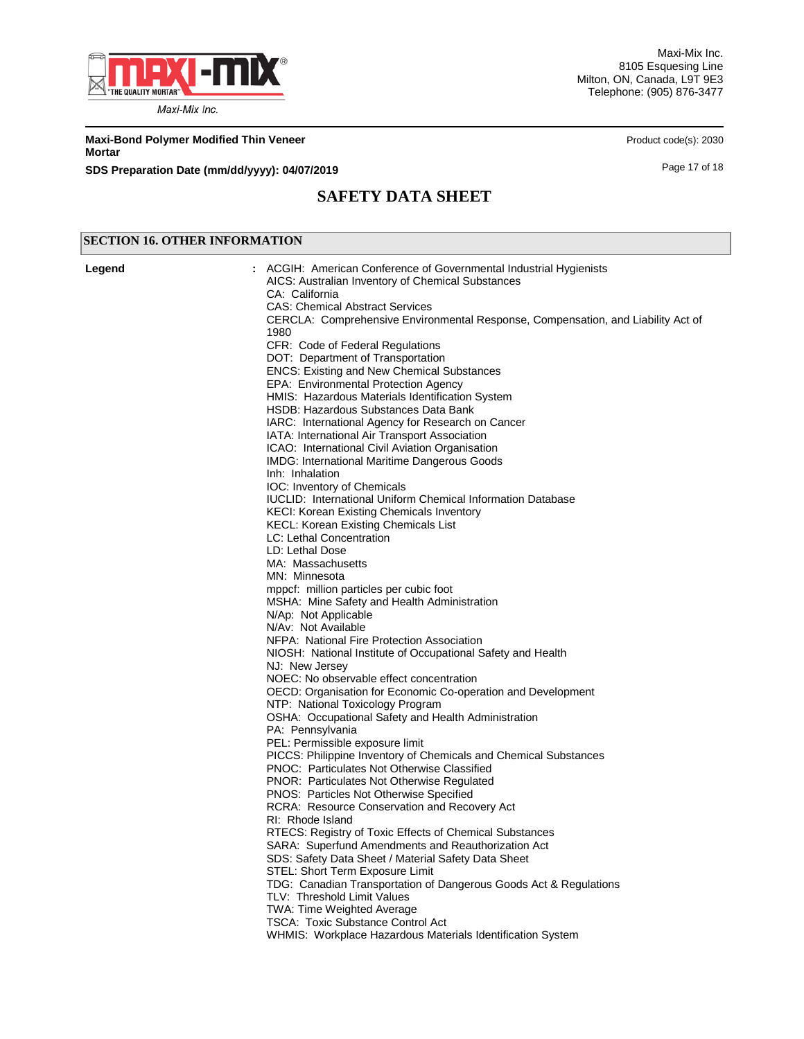

Maxi-Mix Inc. 8105 Esquesing Line Milton, ON, Canada, L9T 9E3 Telephone: (905) 876-3477

**Maxi-Bond Polymer Modified Thin Veneer Product code(s): 2030** Product code(s): 2030 **Mortar**

**SDS Preparation Date (mm/dd/yyyy): 04/07/2019 Page 17 of 18** 

## **SAFETY DATA SHEET**

### **SECTION 16. OTHER INFORMATION**

ACGIH: American Conference of Governmental Industrial Hygienists AICS: Australian Inventory of Chemical Substances CA: California CAS: Chemical Abstract Services CERCLA: Comprehensive Environmental Response, Compensation, and Liability Act of 1980 CFR: Code of Federal Regulations DOT: Department of Transportation ENCS: Existing and New Chemical Substances EPA: Environmental Protection Agency HMIS: Hazardous Materials Identification System HSDB: Hazardous Substances Data Bank IARC: International Agency for Research on Cancer IATA: International Air Transport Association ICAO: International Civil Aviation Organisation IMDG: International Maritime Dangerous Goods Inh: Inhalation IOC: Inventory of Chemicals IUCLID: International Uniform Chemical Information Database KECI: Korean Existing Chemicals Inventory KECL: Korean Existing Chemicals List LC: Lethal Concentration LD: Lethal Dose MA: Massachusetts MN: Minnesota mppcf: million particles per cubic foot MSHA: Mine Safety and Health Administration N/Ap: Not Applicable N/Av: Not Available NFPA: National Fire Protection Association NIOSH: National Institute of Occupational Safety and Health NJ: New Jersey NOEC: No observable effect concentration OECD: Organisation for Economic Co-operation and Development NTP: National Toxicology Program OSHA: Occupational Safety and Health Administration PA: Pennsylvania PEL: Permissible exposure limit PICCS: Philippine Inventory of Chemicals and Chemical Substances PNOC: Particulates Not Otherwise Classified PNOR: Particulates Not Otherwise Regulated PNOS: Particles Not Otherwise Specified RCRA: Resource Conservation and Recovery Act RI: Rhode Island RTECS: Registry of Toxic Effects of Chemical Substances SARA: Superfund Amendments and Reauthorization Act SDS: Safety Data Sheet / Material Safety Data Sheet STEL: Short Term Exposure Limit TDG: Canadian Transportation of Dangerous Goods Act & Regulations TLV: Threshold Limit Values TWA: Time Weighted Average TSCA: Toxic Substance Control Act WHMIS: Workplace Hazardous Materials Identification System **Legend :**